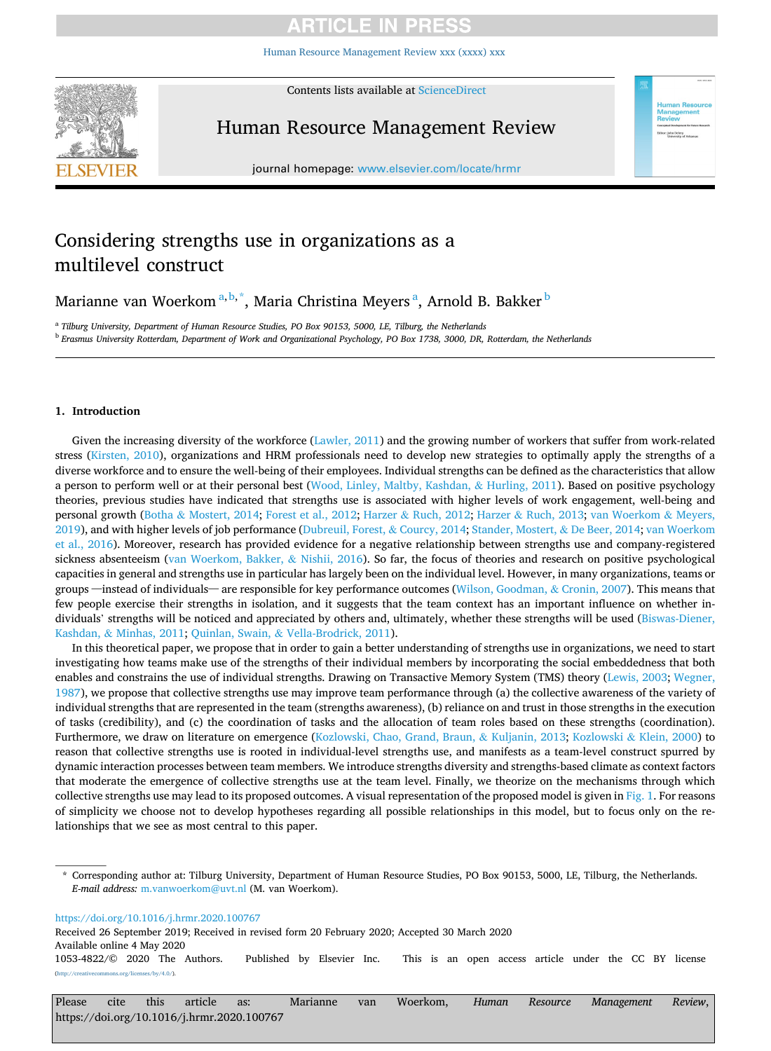# ICLE IN PRES

[Human Resource Management Review xxx \(xxxx\) xxx](https://doi.org/10.1016/j.hrmr.2020.100767)



Contents lists available at [ScienceDirect](www.sciencedirect.com/science/journal/10534822)

Human Resource Management Review



journal homepage: [www.elsevier.com/locate/hrmr](https://www.elsevier.com/locate/hrmr)

# Considering strengths use in organizations as a multilevel construct

Marianne van Woerkom $^{\mathrm{a,b,*}},$  Maria Christina Meyers $^{\mathrm{a}},$  Arnold B. Bakker $^{\mathrm{b}}$ 

<sup>a</sup> *Tilburg University, Department of Human Resource Studies, PO Box 90153, 5000, LE, Tilburg, the Netherlands* 

<sup>b</sup> *Erasmus University Rotterdam, Department of Work and Organizational Psychology, PO Box 1738, 3000, DR, Rotterdam, the Netherlands* 

# **1. Introduction**

Given the increasing diversity of the workforce ([Lawler, 2011](#page-13-0)) and the growing number of workers that suffer from work-related stress [\(Kirsten, 2010](#page-13-0)), organizations and HRM professionals need to develop new strategies to optimally apply the strengths of a diverse workforce and to ensure the well-being of their employees. Individual strengths can be defined as the characteristics that allow a person to perform well or at their personal best ([Wood, Linley, Maltby, Kashdan,](#page-14-0) & Hurling, 2011). Based on positive psychology theories, previous studies have indicated that strengths use is associated with higher levels of work engagement, well-being and personal growth (Botha & [Mostert, 2014](#page-12-0); [Forest et al., 2012](#page-12-0); Harzer & [Ruch, 2012](#page-12-0); Harzer & [Ruch, 2013;](#page-12-0) [van Woerkom](#page-14-0) & Meyers, [2019\)](#page-14-0), and with higher levels of job performance ([Dubreuil, Forest,](#page-12-0) & Courcy, 2014; [Stander, Mostert,](#page-14-0) & De Beer, 2014; [van Woerkom](#page-14-0) [et al., 2016\)](#page-14-0). Moreover, research has provided evidence for a negative relationship between strengths use and company-registered sickness absenteeism [\(van Woerkom, Bakker,](#page-14-0) & Nishii, 2016). So far, the focus of theories and research on positive psychological capacities in general and strengths use in particular has largely been on the individual level. However, in many organizations, teams or groups –instead of individuals– are responsible for key performance outcomes [\(Wilson, Goodman,](#page-14-0) & Cronin, 2007). This means that few people exercise their strengths in isolation, and it suggests that the team context has an important influence on whether in-dividuals' strengths will be noticed and appreciated by others and, ultimately, whether these strengths will be used [\(Biswas-Diener,](#page-11-0) Kashdan, & [Minhas, 2011](#page-11-0); Quinlan, Swain, & [Vella-Brodrick, 2011](#page-13-0)).

In this theoretical paper, we propose that in order to gain a better understanding of strengths use in organizations, we need to start investigating how teams make use of the strengths of their individual members by incorporating the social embeddedness that both enables and constrains the use of individual strengths. Drawing on Transactive Memory System (TMS) theory [\(Lewis, 2003;](#page-13-0) [Wegner,](#page-14-0) [1987\)](#page-14-0), we propose that collective strengths use may improve team performance through (a) the collective awareness of the variety of individual strengths that are represented in the team (strengths awareness), (b) reliance on and trust in those strengths in the execution of tasks (credibility), and (c) the coordination of tasks and the allocation of team roles based on these strengths (coordination). Furthermore, we draw on literature on emergence ([Kozlowski, Chao, Grand, Braun,](#page-13-0) & Kuljanin, 2013; Kozlowski & [Klein, 2000\)](#page-13-0) to reason that collective strengths use is rooted in individual-level strengths use, and manifests as a team-level construct spurred by dynamic interaction processes between team members. We introduce strengths diversity and strengths-based climate as context factors that moderate the emergence of collective strengths use at the team level. Finally, we theorize on the mechanisms through which collective strengths use may lead to its proposed outcomes. A visual representation of the proposed model is given in [Fig. 1.](#page-1-0) For reasons of simplicity we choose not to develop hypotheses regarding all possible relationships in this model, but to focus only on the relationships that we see as most central to this paper.

<https://doi.org/10.1016/j.hrmr.2020.100767>

Received 26 September 2019; Received in revised form 20 February 2020; Accepted 30 March 2020

Available online 4 May 2020

<sup>\*</sup> Corresponding author at: Tilburg University, Department of Human Resource Studies, PO Box 90153, 5000, LE, Tilburg, the Netherlands. *E-mail address:* [m.vanwoerkom@uvt.nl](mailto:m.vanwoerkom@uvt.nl) (M. van Woerkom).

<sup>1053-4822/© 2020</sup> The Authors. Published by Elsevier Inc. This is an open access article under the CC BY license [\(http://creativecommons.org/licenses/by/4.0/\)](http://creativecommons.org/licenses/by/4.0/).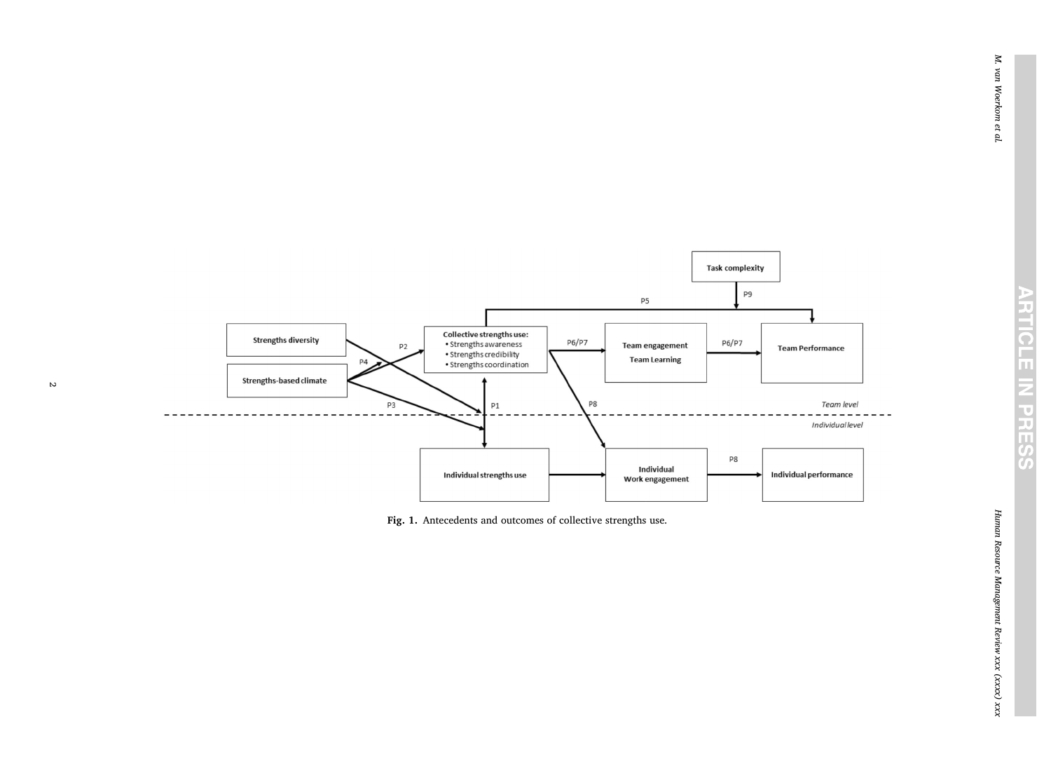<span id="page-1-0"></span>

 $\sim$ 

**Fig. 1.** Antecedents and outcomes of collective strengths use.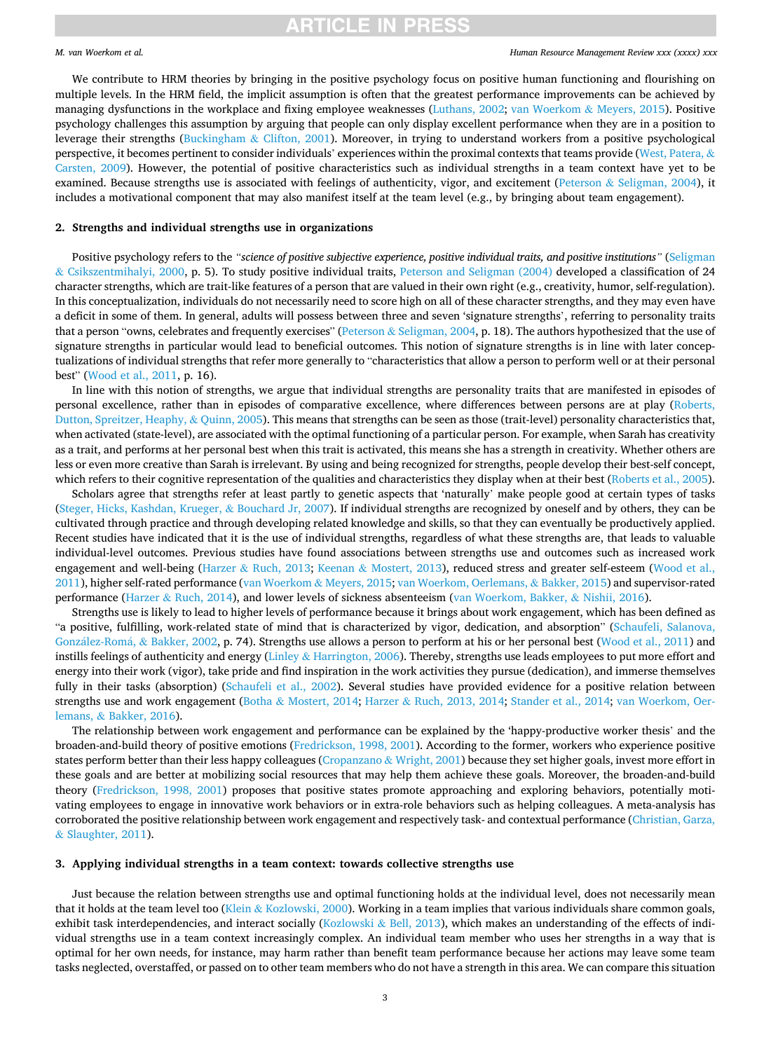## *M. van Woerkom et al.*

### *Human Resource Management Review xxx (xxxx) xxx*

We contribute to HRM theories by bringing in the positive psychology focus on positive human functioning and flourishing on multiple levels. In the HRM field, the implicit assumption is often that the greatest performance improvements can be achieved by managing dysfunctions in the workplace and fixing employee weaknesses ([Luthans, 2002](#page-13-0); [van Woerkom](#page-14-0) & Meyers, 2015). Positive psychology challenges this assumption by arguing that people can only display excellent performance when they are in a position to leverage their strengths (Buckingham & [Clifton, 2001](#page-12-0)). Moreover, in trying to understand workers from a positive psychological perspective, it becomes pertinent to consider individuals' experiences within the proximal contexts that teams provide ([West, Patera,](#page-14-0) & [Carsten, 2009](#page-14-0)). However, the potential of positive characteristics such as individual strengths in a team context have yet to be examined. Because strengths use is associated with feelings of authenticity, vigor, and excitement (Peterson & [Seligman, 2004](#page-13-0)), it includes a motivational component that may also manifest itself at the team level (e.g., by bringing about team engagement).

# **2. Strengths and individual strengths use in organizations**

Positive psychology refers to the *"science of positive subjective experience, positive individual traits, and positive institutions"* ([Seligman](#page-14-0) & [Csikszentmihalyi, 2000](#page-14-0), p. 5). To study positive individual traits, [Peterson and Seligman \(2004\)](#page-13-0) developed a classification of 24 character strengths, which are trait-like features of a person that are valued in their own right (e.g., creativity, humor, self-regulation). In this conceptualization, individuals do not necessarily need to score high on all of these character strengths, and they may even have a deficit in some of them. In general, adults will possess between three and seven 'signature strengths', referring to personality traits that a person "owns, celebrates and frequently exercises" (Peterson & [Seligman, 2004,](#page-13-0) p. 18). The authors hypothesized that the use of signature strengths in particular would lead to beneficial outcomes. This notion of signature strengths is in line with later conceptualizations of individual strengths that refer more generally to "characteristics that allow a person to perform well or at their personal best" [\(Wood et al., 2011](#page-14-0), p. 16).

In line with this notion of strengths, we argue that individual strengths are personality traits that are manifested in episodes of personal excellence, rather than in episodes of comparative excellence, where differences between persons are at play [\(Roberts,](#page-14-0) [Dutton, Spreitzer, Heaphy,](#page-14-0) & Quinn, 2005). This means that strengths can be seen as those (trait-level) personality characteristics that, when activated (state-level), are associated with the optimal functioning of a particular person. For example, when Sarah has creativity as a trait, and performs at her personal best when this trait is activated, this means she has a strength in creativity. Whether others are less or even more creative than Sarah is irrelevant. By using and being recognized for strengths, people develop their best-self concept, which refers to their cognitive representation of the qualities and characteristics they display when at their best [\(Roberts et al., 2005](#page-14-0)).

Scholars agree that strengths refer at least partly to genetic aspects that 'naturally' make people good at certain types of tasks [\(Steger, Hicks, Kashdan, Krueger,](#page-14-0) & Bouchard Jr, 2007). If individual strengths are recognized by oneself and by others, they can be cultivated through practice and through developing related knowledge and skills, so that they can eventually be productively applied. Recent studies have indicated that it is the use of individual strengths, regardless of what these strengths are, that leads to valuable individual-level outcomes. Previous studies have found associations between strengths use and outcomes such as increased work engagement and well-being (Harzer & [Ruch, 2013;](#page-12-0) Keenan & [Mostert, 2013](#page-13-0)), reduced stress and greater self-esteem ([Wood et al.,](#page-14-0) [2011\)](#page-14-0), higher self-rated performance ([van Woerkom](#page-14-0) & Meyers, 2015; [van Woerkom, Oerlemans,](#page-14-0) & Bakker, 2015) and supervisor-rated performance (Harzer & [Ruch, 2014](#page-12-0)), and lower levels of sickness absenteeism [\(van Woerkom, Bakker,](#page-14-0) & Nishii, 2016).

Strengths use is likely to lead to higher levels of performance because it brings about work engagement, which has been defined as "a positive, fulfilling, work-related state of mind that is characterized by vigor, dedication, and absorption" ([Schaufeli, Salanova,](#page-14-0) González-Romá, & [Bakker, 2002](#page-14-0), p. 74). Strengths use allows a person to perform at his or her personal best ([Wood et al., 2011](#page-14-0)) and instills feelings of authenticity and energy (Linley & [Harrington, 2006](#page-13-0)). Thereby, strengths use leads employees to put more effort and energy into their work (vigor), take pride and find inspiration in the work activities they pursue (dedication), and immerse themselves fully in their tasks (absorption) ([Schaufeli et al., 2002\)](#page-14-0). Several studies have provided evidence for a positive relation between strengths use and work engagement (Botha & [Mostert, 2014](#page-12-0); Harzer & [Ruch, 2013, 2014](#page-12-0); [Stander et al., 2014;](#page-14-0) [van Woerkom, Oer](#page-14-0)lemans, & [Bakker, 2016\)](#page-14-0).

The relationship between work engagement and performance can be explained by the 'happy-productive worker thesis' and the broaden-and-build theory of positive emotions ([Fredrickson, 1998, 2001\)](#page-12-0). According to the former, workers who experience positive states perform better than their less happy colleagues (Cropanzano & [Wright, 2001\)](#page-12-0) because they set higher goals, invest more effort in these goals and are better at mobilizing social resources that may help them achieve these goals. Moreover, the broaden-and-build theory [\(Fredrickson, 1998, 2001](#page-12-0)) proposes that positive states promote approaching and exploring behaviors, potentially motivating employees to engage in innovative work behaviors or in extra-role behaviors such as helping colleagues. A meta-analysis has corroborated the positive relationship between work engagement and respectively task- and contextual performance ([Christian, Garza,](#page-12-0) & [Slaughter, 2011\)](#page-12-0).

# **3. Applying individual strengths in a team context: towards collective strengths use**

Just because the relation between strengths use and optimal functioning holds at the individual level, does not necessarily mean that it holds at the team level too (Klein & [Kozlowski, 2000\)](#page-13-0). Working in a team implies that various individuals share common goals, exhibit task interdependencies, and interact socially [\(Kozlowski](#page-13-0) & Bell, 2013), which makes an understanding of the effects of individual strengths use in a team context increasingly complex. An individual team member who uses her strengths in a way that is optimal for her own needs, for instance, may harm rather than benefit team performance because her actions may leave some team tasks neglected, overstaffed, or passed on to other team members who do not have a strength in this area. We can compare this situation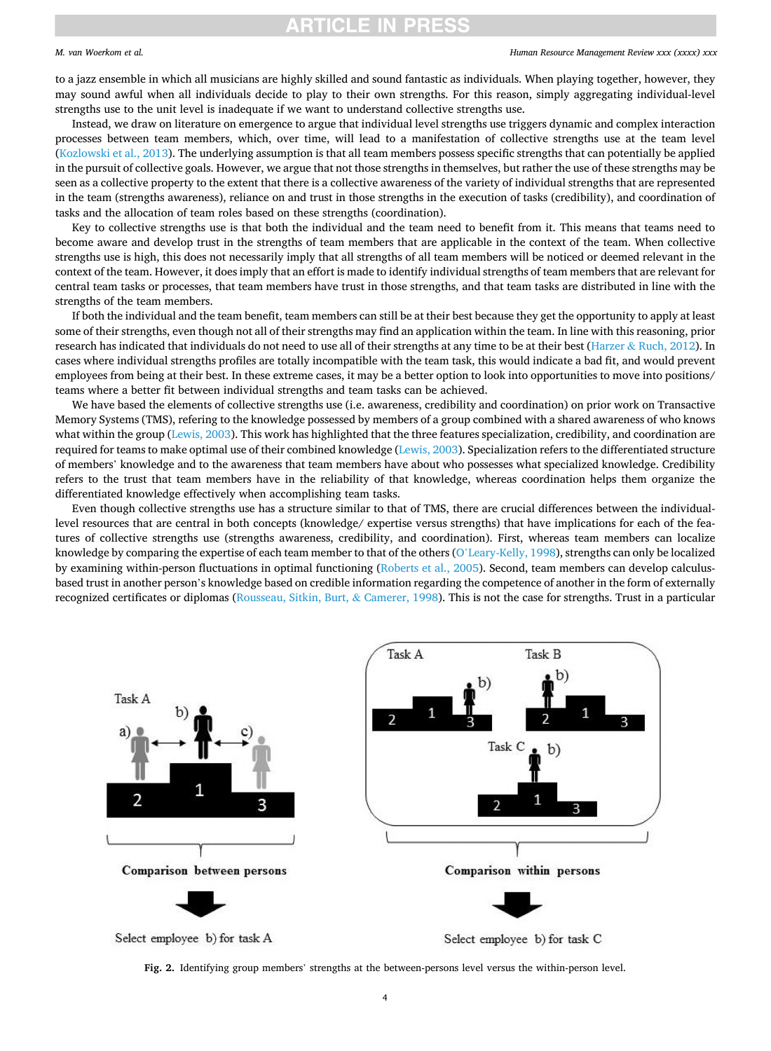# ICI E IN PRES

# <span id="page-3-0"></span>*M. van Woerkom et al.*

### *Human Resource Management Review xxx (xxxx) xxx*

to a jazz ensemble in which all musicians are highly skilled and sound fantastic as individuals. When playing together, however, they may sound awful when all individuals decide to play to their own strengths. For this reason, simply aggregating individual-level strengths use to the unit level is inadequate if we want to understand collective strengths use.

Instead, we draw on literature on emergence to argue that individual level strengths use triggers dynamic and complex interaction processes between team members, which, over time, will lead to a manifestation of collective strengths use at the team level [\(Kozlowski et al., 2013\)](#page-13-0). The underlying assumption is that all team members possess specific strengths that can potentially be applied in the pursuit of collective goals. However, we argue that not those strengths in themselves, but rather the use of these strengths may be seen as a collective property to the extent that there is a collective awareness of the variety of individual strengths that are represented in the team (strengths awareness), reliance on and trust in those strengths in the execution of tasks (credibility), and coordination of tasks and the allocation of team roles based on these strengths (coordination).

Key to collective strengths use is that both the individual and the team need to benefit from it. This means that teams need to become aware and develop trust in the strengths of team members that are applicable in the context of the team. When collective strengths use is high, this does not necessarily imply that all strengths of all team members will be noticed or deemed relevant in the context of the team. However, it does imply that an effort is made to identify individual strengths of team members that are relevant for central team tasks or processes, that team members have trust in those strengths, and that team tasks are distributed in line with the strengths of the team members.

If both the individual and the team benefit, team members can still be at their best because they get the opportunity to apply at least some of their strengths, even though not all of their strengths may find an application within the team. In line with this reasoning, prior research has indicated that individuals do not need to use all of their strengths at any time to be at their best (Harzer & [Ruch, 2012](#page-12-0)). In cases where individual strengths profiles are totally incompatible with the team task, this would indicate a bad fit, and would prevent employees from being at their best. In these extreme cases, it may be a better option to look into opportunities to move into positions/ teams where a better fit between individual strengths and team tasks can be achieved.

We have based the elements of collective strengths use (i.e. awareness, credibility and coordination) on prior work on Transactive Memory Systems (TMS), refering to the knowledge possessed by members of a group combined with a shared awareness of who knows what within the group [\(Lewis, 2003](#page-13-0)). This work has highlighted that the three features specialization, credibility, and coordination are required for teams to make optimal use of their combined knowledge ([Lewis, 2003\)](#page-13-0). Specialization refers to the differentiated structure of members' knowledge and to the awareness that team members have about who possesses what specialized knowledge. Credibility refers to the trust that team members have in the reliability of that knowledge, whereas coordination helps them organize the differentiated knowledge effectively when accomplishing team tasks.

Even though collective strengths use has a structure similar to that of TMS, there are crucial differences between the individuallevel resources that are central in both concepts (knowledge/ expertise versus strengths) that have implications for each of the features of collective strengths use (strengths awareness, credibility, and coordination). First, whereas team members can localize knowledge by comparing the expertise of each team member to that of the others (O'[Leary-Kelly, 1998\)](#page-13-0), strengths can only be localized by examining within-person fluctuations in optimal functioning ([Roberts et al., 2005](#page-14-0)). Second, team members can develop calculusbased trust in another person's knowledge based on credible information regarding the competence of another in the form of externally recognized certificates or diplomas [\(Rousseau, Sitkin, Burt,](#page-14-0) & Camerer, 1998). This is not the case for strengths. Trust in a particular



**Fig. 2.** Identifying group members' strengths at the between-persons level versus the within-person level.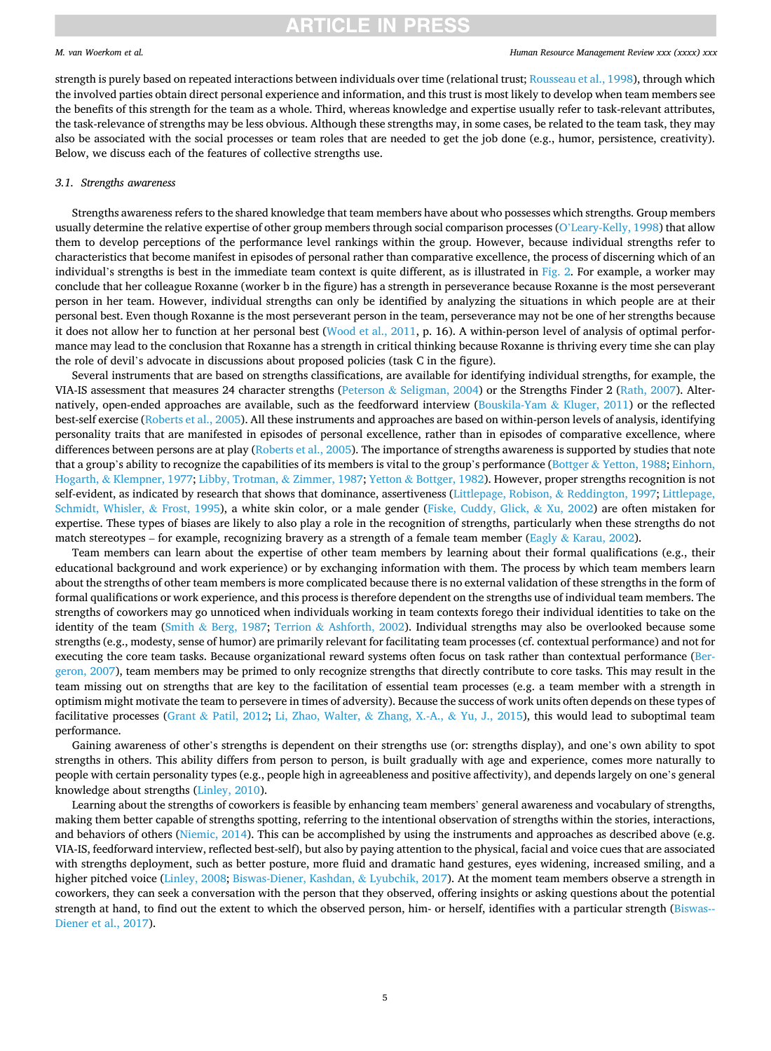# *M. van Woerkom et al.*

### *Human Resource Management Review xxx (xxxx) xxx*

strength is purely based on repeated interactions between individuals over time (relational trust; [Rousseau et al., 1998](#page-14-0)), through which the involved parties obtain direct personal experience and information, and this trust is most likely to develop when team members see the benefits of this strength for the team as a whole. Third, whereas knowledge and expertise usually refer to task-relevant attributes, the task-relevance of strengths may be less obvious. Although these strengths may, in some cases, be related to the team task, they may also be associated with the social processes or team roles that are needed to get the job done (e.g., humor, persistence, creativity). Below, we discuss each of the features of collective strengths use.

## *3.1. Strengths awareness*

Strengths awareness refers to the shared knowledge that team members have about who possesses which strengths. Group members usually determine the relative expertise of other group members through social comparison processes (O'[Leary-Kelly, 1998](#page-13-0)) that allow them to develop perceptions of the performance level rankings within the group. However, because individual strengths refer to characteristics that become manifest in episodes of personal rather than comparative excellence, the process of discerning which of an individual's strengths is best in the immediate team context is quite different, as is illustrated in  $Fig. 2$ . For example, a worker may conclude that her colleague Roxanne (worker b in the figure) has a strength in perseverance because Roxanne is the most perseverant person in her team. However, individual strengths can only be identified by analyzing the situations in which people are at their personal best. Even though Roxanne is the most perseverant person in the team, perseverance may not be one of her strengths because it does not allow her to function at her personal best ([Wood et al., 2011](#page-14-0), p. 16). A within-person level of analysis of optimal performance may lead to the conclusion that Roxanne has a strength in critical thinking because Roxanne is thriving every time she can play the role of devil's advocate in discussions about proposed policies (task C in the figure).

Several instruments that are based on strengths classifications, are available for identifying individual strengths, for example, the VIA-IS assessment that measures 24 character strengths (Peterson & [Seligman, 2004](#page-13-0)) or the Strengths Finder 2 [\(Rath, 2007](#page-13-0)). Alter-natively, open-ended approaches are available, such as the feedforward interview ([Bouskila-Yam](#page-12-0) & Kluger, 2011) or the reflected best-self exercise ([Roberts et al., 2005](#page-14-0)). All these instruments and approaches are based on within-person levels of analysis, identifying personality traits that are manifested in episodes of personal excellence, rather than in episodes of comparative excellence, where differences between persons are at play ([Roberts et al., 2005](#page-14-0)). The importance of strengths awareness is supported by studies that note that a group's ability to recognize the capabilities of its members is vital to the group's performance (Bottger & [Yetton, 1988; Einhorn,](#page-12-0) Hogarth, & [Klempner, 1977](#page-12-0); [Libby, Trotman,](#page-13-0) & Zimmer, 1987; Yetton & [Bottger, 1982\)](#page-14-0). However, proper strengths recognition is not self-evident, as indicated by research that shows that dominance, assertiveness [\(Littlepage, Robison,](#page-13-0) & Reddington, 1997; [Littlepage,](#page-13-0) [Schmidt, Whisler,](#page-13-0) & Frost, 1995), a white skin color, or a male gender [\(Fiske, Cuddy, Glick,](#page-12-0) & Xu, 2002) are often mistaken for expertise. These types of biases are likely to also play a role in the recognition of strengths, particularly when these strengths do not match stereotypes – for example, recognizing bravery as a strength of a female team member (Eagly & [Karau, 2002](#page-12-0)).

Team members can learn about the expertise of other team members by learning about their formal qualifications (e.g., their educational background and work experience) or by exchanging information with them. The process by which team members learn about the strengths of other team members is more complicated because there is no external validation of these strengths in the form of formal qualifications or work experience, and this process is therefore dependent on the strengths use of individual team members. The strengths of coworkers may go unnoticed when individuals working in team contexts forego their individual identities to take on the identity of the team (Smith & [Berg, 1987;](#page-14-0) Terrion & [Ashforth, 2002\)](#page-14-0). Individual strengths may also be overlooked because some strengths (e.g., modesty, sense of humor) are primarily relevant for facilitating team processes (cf. contextual performance) and not for executing the core team tasks. Because organizational reward systems often focus on task rather than contextual performance ([Ber](#page-11-0)[geron, 2007\)](#page-11-0), team members may be primed to only recognize strengths that directly contribute to core tasks. This may result in the team missing out on strengths that are key to the facilitation of essential team processes (e.g. a team member with a strength in optimism might motivate the team to persevere in times of adversity). Because the success of work units often depends on these types of facilitative processes (Grant & [Patil, 2012](#page-12-0); [Li, Zhao, Walter,](#page-13-0) & Zhang, X.-A., & Yu, J., 2015), this would lead to suboptimal team performance.

Gaining awareness of other's strengths is dependent on their strengths use (or: strengths display), and one's own ability to spot strengths in others. This ability differs from person to person, is built gradually with age and experience, comes more naturally to people with certain personality types (e.g., people high in agreeableness and positive affectivity), and depends largely on one's general knowledge about strengths ([Linley, 2010\)](#page-13-0).

Learning about the strengths of coworkers is feasible by enhancing team members' general awareness and vocabulary of strengths, making them better capable of strengths spotting, referring to the intentional observation of strengths within the stories, interactions, and behaviors of others [\(Niemic, 2014](#page-13-0)). This can be accomplished by using the instruments and approaches as described above (e.g. VIA-IS, feedforward interview, reflected best-self), but also by paying attention to the physical, facial and voice cues that are associated with strengths deployment, such as better posture, more fluid and dramatic hand gestures, eyes widening, increased smiling, and a higher pitched voice [\(Linley, 2008](#page-13-0); [Biswas-Diener, Kashdan,](#page-11-0) & Lyubchik, 2017). At the moment team members observe a strength in coworkers, they can seek a conversation with the person that they observed, offering insights or asking questions about the potential strength at hand, to find out the extent to which the observed person, him- or herself, identifies with a particular strength [\(Biswas--](#page-11-0)[Diener et al., 2017](#page-11-0)).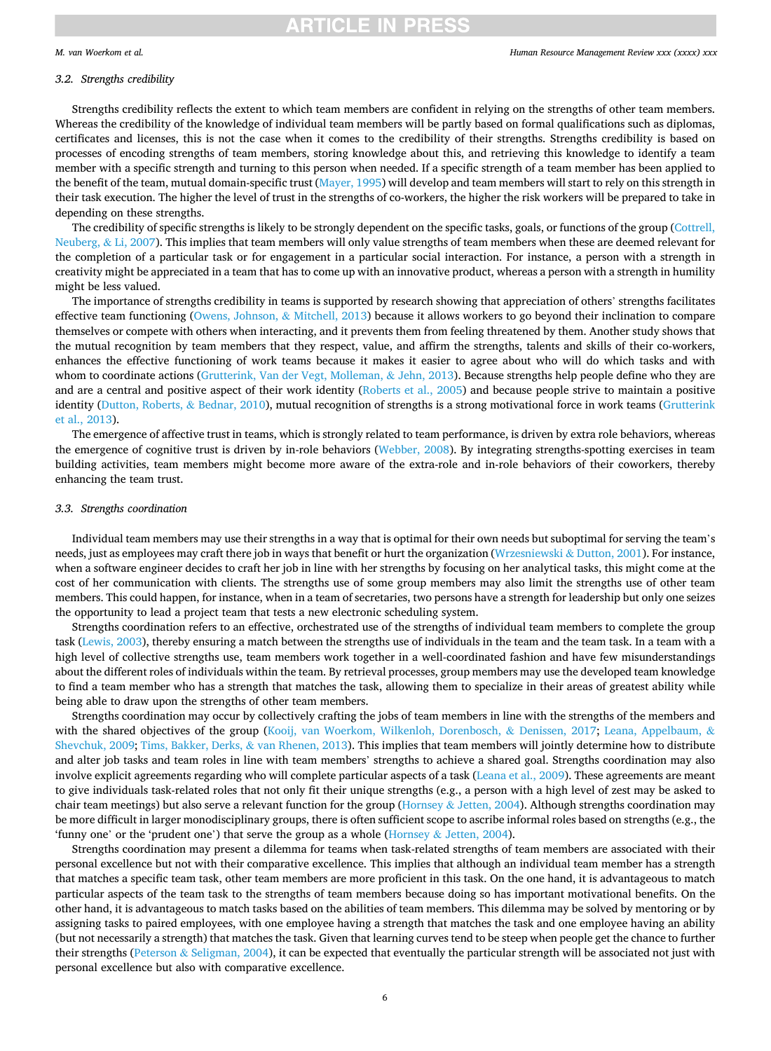## *M. van Woerkom et al.*

### *Human Resource Management Review xxx (xxxx) xxx*

# *3.2. Strengths credibility*

Strengths credibility reflects the extent to which team members are confident in relying on the strengths of other team members. Whereas the credibility of the knowledge of individual team members will be partly based on formal qualifications such as diplomas, certificates and licenses, this is not the case when it comes to the credibility of their strengths. Strengths credibility is based on processes of encoding strengths of team members, storing knowledge about this, and retrieving this knowledge to identify a team member with a specific strength and turning to this person when needed. If a specific strength of a team member has been applied to the benefit of the team, mutual domain-specific trust ([Mayer, 1995\)](#page-13-0) will develop and team members will start to rely on this strength in their task execution. The higher the level of trust in the strengths of co-workers, the higher the risk workers will be prepared to take in depending on these strengths.

The credibility of specific strengths is likely to be strongly dependent on the specific tasks, goals, or functions of the group ([Cottrell,](#page-12-0) [Neuberg,](#page-12-0) & Li, 2007). This implies that team members will only value strengths of team members when these are deemed relevant for the completion of a particular task or for engagement in a particular social interaction. For instance, a person with a strength in creativity might be appreciated in a team that has to come up with an innovative product, whereas a person with a strength in humility might be less valued.

The importance of strengths credibility in teams is supported by research showing that appreciation of others' strengths facilitates effective team functioning ([Owens, Johnson,](#page-13-0) & Mitchell, 2013) because it allows workers to go beyond their inclination to compare themselves or compete with others when interacting, and it prevents them from feeling threatened by them. Another study shows that the mutual recognition by team members that they respect, value, and affirm the strengths, talents and skills of their co-workers, enhances the effective functioning of work teams because it makes it easier to agree about who will do which tasks and with whom to coordinate actions [\(Grutterink, Van der Vegt, Molleman,](#page-12-0) & Jehn, 2013). Because strengths help people define who they are and are a central and positive aspect of their work identity [\(Roberts et al., 2005\)](#page-14-0) and because people strive to maintain a positive identity ([Dutton, Roberts,](#page-12-0) & Bednar, 2010), mutual recognition of strengths is a strong motivational force in work teams [\(Grutterink](#page-12-0) [et al., 2013](#page-12-0)).

The emergence of affective trust in teams, which is strongly related to team performance, is driven by extra role behaviors, whereas the emergence of cognitive trust is driven by in-role behaviors [\(Webber, 2008\)](#page-14-0). By integrating strengths-spotting exercises in team building activities, team members might become more aware of the extra-role and in-role behaviors of their coworkers, thereby enhancing the team trust.

# *3.3. Strengths coordination*

Individual team members may use their strengths in a way that is optimal for their own needs but suboptimal for serving the team's needs, just as employees may craft there job in ways that benefit or hurt the organization ([Wrzesniewski](#page-14-0) & Dutton, 2001). For instance, when a software engineer decides to craft her job in line with her strengths by focusing on her analytical tasks, this might come at the cost of her communication with clients. The strengths use of some group members may also limit the strengths use of other team members. This could happen, for instance, when in a team of secretaries, two persons have a strength for leadership but only one seizes the opportunity to lead a project team that tests a new electronic scheduling system.

Strengths coordination refers to an effective, orchestrated use of the strengths of individual team members to complete the group task [\(Lewis, 2003](#page-13-0)), thereby ensuring a match between the strengths use of individuals in the team and the team task. In a team with a high level of collective strengths use, team members work together in a well-coordinated fashion and have few misunderstandings about the different roles of individuals within the team. By retrieval processes, group members may use the developed team knowledge to find a team member who has a strength that matches the task, allowing them to specialize in their areas of greatest ability while being able to draw upon the strengths of other team members.

Strengths coordination may occur by collectively crafting the jobs of team members in line with the strengths of the members and with the shared objectives of the group [\(Kooij, van Woerkom, Wilkenloh, Dorenbosch,](#page-13-0) & Denissen, 2017; [Leana, Appelbaum,](#page-13-0) & [Shevchuk, 2009](#page-13-0); [Tims, Bakker, Derks,](#page-14-0) & van Rhenen, 2013). This implies that team members will jointly determine how to distribute and alter job tasks and team roles in line with team members' strengths to achieve a shared goal. Strengths coordination may also involve explicit agreements regarding who will complete particular aspects of a task ([Leana et al., 2009\)](#page-13-0). These agreements are meant to give individuals task-related roles that not only fit their unique strengths (e.g., a person with a high level of zest may be asked to chair team meetings) but also serve a relevant function for the group (Hornsey & [Jetten, 2004](#page-12-0)). Although strengths coordination may be more difficult in larger monodisciplinary groups, there is often sufficient scope to ascribe informal roles based on strengths (e.g., the 'funny one' or the 'prudent one') that serve the group as a whole (Hornsey & [Jetten, 2004\)](#page-12-0).

Strengths coordination may present a dilemma for teams when task-related strengths of team members are associated with their personal excellence but not with their comparative excellence. This implies that although an individual team member has a strength that matches a specific team task, other team members are more proficient in this task. On the one hand, it is advantageous to match particular aspects of the team task to the strengths of team members because doing so has important motivational benefits. On the other hand, it is advantageous to match tasks based on the abilities of team members. This dilemma may be solved by mentoring or by assigning tasks to paired employees, with one employee having a strength that matches the task and one employee having an ability (but not necessarily a strength) that matches the task. Given that learning curves tend to be steep when people get the chance to further their strengths (Peterson & [Seligman, 2004\)](#page-13-0), it can be expected that eventually the particular strength will be associated not just with personal excellence but also with comparative excellence.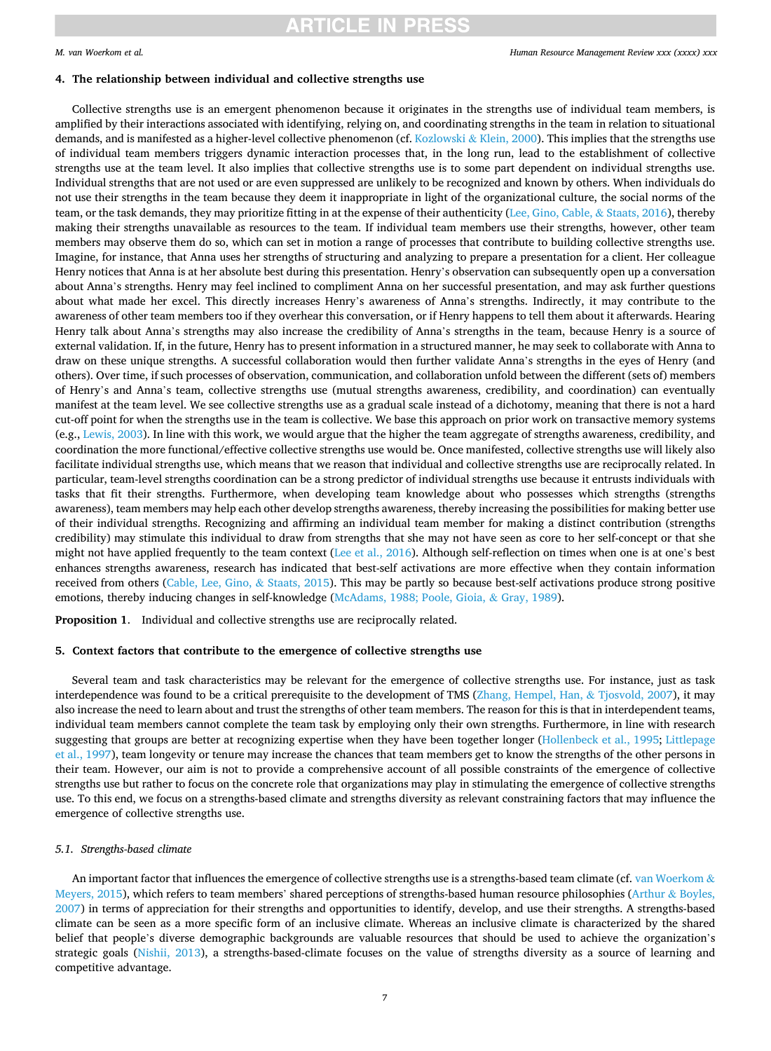# **4. The relationship between individual and collective strengths use**

Collective strengths use is an emergent phenomenon because it originates in the strengths use of individual team members, is amplified by their interactions associated with identifying, relying on, and coordinating strengths in the team in relation to situational demands, and is manifested as a higher-level collective phenomenon (cf. Kozlowski & [Klein, 2000](#page-13-0)). This implies that the strengths use of individual team members triggers dynamic interaction processes that, in the long run, lead to the establishment of collective strengths use at the team level. It also implies that collective strengths use is to some part dependent on individual strengths use. Individual strengths that are not used or are even suppressed are unlikely to be recognized and known by others. When individuals do not use their strengths in the team because they deem it inappropriate in light of the organizational culture, the social norms of the team, or the task demands, they may prioritize fitting in at the expense of their authenticity [\(Lee, Gino, Cable,](#page-13-0) & Staats, 2016), thereby making their strengths unavailable as resources to the team. If individual team members use their strengths, however, other team members may observe them do so, which can set in motion a range of processes that contribute to building collective strengths use. Imagine, for instance, that Anna uses her strengths of structuring and analyzing to prepare a presentation for a client. Her colleague Henry notices that Anna is at her absolute best during this presentation. Henry's observation can subsequently open up a conversation about Anna's strengths. Henry may feel inclined to compliment Anna on her successful presentation, and may ask further questions about what made her excel. This directly increases Henry's awareness of Anna's strengths. Indirectly, it may contribute to the awareness of other team members too if they overhear this conversation, or if Henry happens to tell them about it afterwards. Hearing Henry talk about Anna's strengths may also increase the credibility of Anna's strengths in the team, because Henry is a source of external validation. If, in the future, Henry has to present information in a structured manner, he may seek to collaborate with Anna to draw on these unique strengths. A successful collaboration would then further validate Anna's strengths in the eyes of Henry (and others). Over time, if such processes of observation, communication, and collaboration unfold between the different (sets of) members of Henry's and Anna's team, collective strengths use (mutual strengths awareness, credibility, and coordination) can eventually manifest at the team level. We see collective strengths use as a gradual scale instead of a dichotomy, meaning that there is not a hard cut-off point for when the strengths use in the team is collective. We base this approach on prior work on transactive memory systems (e.g., [Lewis, 2003\)](#page-13-0). In line with this work, we would argue that the higher the team aggregate of strengths awareness, credibility, and coordination the more functional/effective collective strengths use would be. Once manifested, collective strengths use will likely also facilitate individual strengths use, which means that we reason that individual and collective strengths use are reciprocally related. In particular, team-level strengths coordination can be a strong predictor of individual strengths use because it entrusts individuals with tasks that fit their strengths. Furthermore, when developing team knowledge about who possesses which strengths (strengths awareness), team members may help each other develop strengths awareness, thereby increasing the possibilities for making better use of their individual strengths. Recognizing and affirming an individual team member for making a distinct contribution (strengths credibility) may stimulate this individual to draw from strengths that she may not have seen as core to her self-concept or that she might not have applied frequently to the team context [\(Lee et al., 2016\)](#page-13-0). Although self-reflection on times when one is at one's best enhances strengths awareness, research has indicated that best-self activations are more effective when they contain information received from others ([Cable, Lee, Gino,](#page-12-0) & Staats, 2015). This may be partly so because best-self activations produce strong positive emotions, thereby inducing changes in self-knowledge [\(McAdams, 1988; Poole, Gioia,](#page-13-0) & Gray, 1989).

**Proposition 1**. Individual and collective strengths use are reciprocally related.

# **5. Context factors that contribute to the emergence of collective strengths use**

Several team and task characteristics may be relevant for the emergence of collective strengths use. For instance, just as task interdependence was found to be a critical prerequisite to the development of TMS ([Zhang, Hempel, Han,](#page-14-0) & Tjosvold, 2007), it may also increase the need to learn about and trust the strengths of other team members. The reason for this is that in interdependent teams, individual team members cannot complete the team task by employing only their own strengths. Furthermore, in line with research suggesting that groups are better at recognizing expertise when they have been together longer ([Hollenbeck et al., 1995;](#page-12-0) [Littlepage](#page-13-0) [et al., 1997\)](#page-13-0), team longevity or tenure may increase the chances that team members get to know the strengths of the other persons in their team. However, our aim is not to provide a comprehensive account of all possible constraints of the emergence of collective strengths use but rather to focus on the concrete role that organizations may play in stimulating the emergence of collective strengths use. To this end, we focus on a strengths-based climate and strengths diversity as relevant constraining factors that may influence the emergence of collective strengths use.

# *5.1. Strengths-based climate*

An important factor that influences the emergence of collective strengths use is a strengths-based team climate (cf. [van Woerkom](#page-14-0)  $\&$ [Meyers, 2015\)](#page-14-0), which refers to team members' shared perceptions of strengths-based human resource philosophies [\(Arthur](#page-11-0) & Boyles, [2007\)](#page-11-0) in terms of appreciation for their strengths and opportunities to identify, develop, and use their strengths. A strengths-based climate can be seen as a more specific form of an inclusive climate. Whereas an inclusive climate is characterized by the shared belief that people's diverse demographic backgrounds are valuable resources that should be used to achieve the organization's strategic goals [\(Nishii, 2013\)](#page-13-0), a strengths-based-climate focuses on the value of strengths diversity as a source of learning and competitive advantage.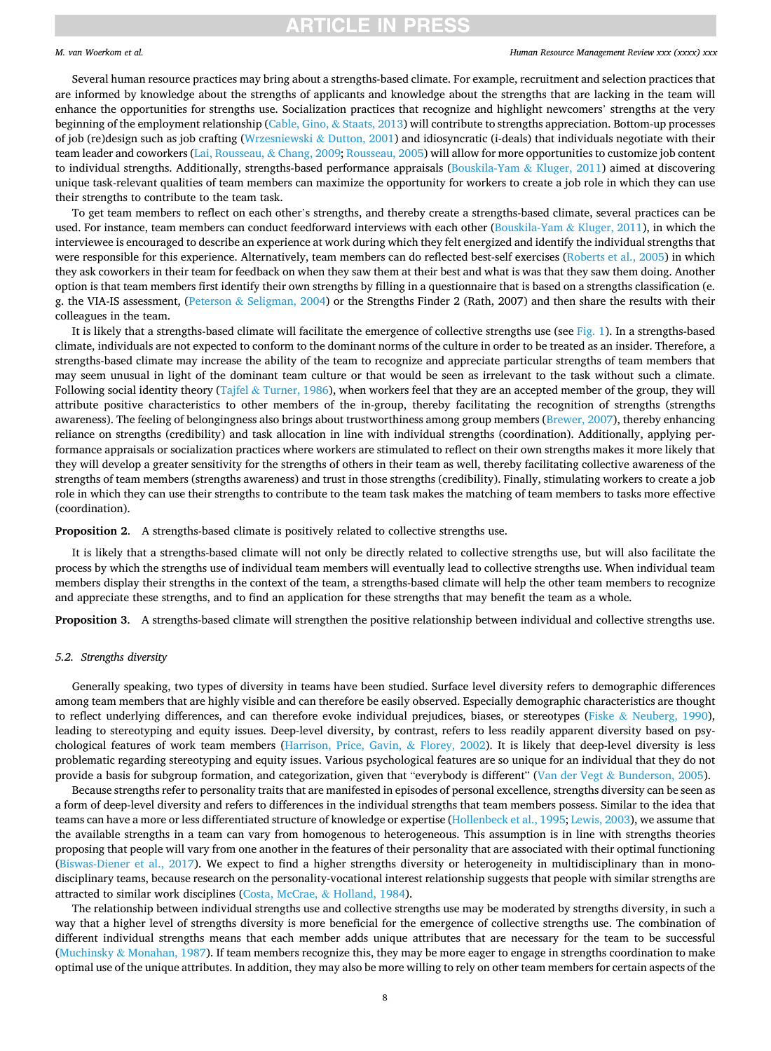## *M. van Woerkom et al.*

### *Human Resource Management Review xxx (xxxx) xxx*

Several human resource practices may bring about a strengths-based climate. For example, recruitment and selection practices that are informed by knowledge about the strengths of applicants and knowledge about the strengths that are lacking in the team will enhance the opportunities for strengths use. Socialization practices that recognize and highlight newcomers' strengths at the very beginning of the employment relationship ([Cable, Gino,](#page-12-0) & Staats, 2013) will contribute to strengths appreciation. Bottom-up processes of job (re)design such as job crafting ([Wrzesniewski](#page-14-0)  $&$  Dutton, 2001) and idiosyncratic (i-deals) that individuals negotiate with their team leader and coworkers [\(Lai, Rousseau,](#page-13-0) & Chang, 2009; [Rousseau, 2005](#page-14-0)) will allow for more opportunities to customize job content to individual strengths. Additionally, strengths-based performance appraisals ([Bouskila-Yam](#page-12-0) & Kluger, 2011) aimed at discovering unique task-relevant qualities of team members can maximize the opportunity for workers to create a job role in which they can use their strengths to contribute to the team task.

To get team members to reflect on each other's strengths, and thereby create a strengths-based climate, several practices can be used. For instance, team members can conduct feedforward interviews with each other [\(Bouskila-Yam](#page-12-0) & Kluger, 2011), in which the interviewee is encouraged to describe an experience at work during which they felt energized and identify the individual strengths that were responsible for this experience. Alternatively, team members can do reflected best-self exercises [\(Roberts et al., 2005](#page-14-0)) in which they ask coworkers in their team for feedback on when they saw them at their best and what is was that they saw them doing. Another option is that team members first identify their own strengths by filling in a questionnaire that is based on a strengths classification (e. g. the VIA-IS assessment, (Peterson & [Seligman, 2004](#page-13-0)) or the Strengths Finder 2 (Rath, 2007) and then share the results with their colleagues in the team.

It is likely that a strengths-based climate will facilitate the emergence of collective strengths use (see [Fig. 1](#page-1-0)). In a strengths-based climate, individuals are not expected to conform to the dominant norms of the culture in order to be treated as an insider. Therefore, a strengths-based climate may increase the ability of the team to recognize and appreciate particular strengths of team members that may seem unusual in light of the dominant team culture or that would be seen as irrelevant to the task without such a climate. Following social identity theory (Tajfel & [Turner, 1986](#page-14-0)), when workers feel that they are an accepted member of the group, they will attribute positive characteristics to other members of the in-group, thereby facilitating the recognition of strengths (strengths awareness). The feeling of belongingness also brings about trustworthiness among group members ([Brewer, 2007](#page-12-0)), thereby enhancing reliance on strengths (credibility) and task allocation in line with individual strengths (coordination). Additionally, applying performance appraisals or socialization practices where workers are stimulated to reflect on their own strengths makes it more likely that they will develop a greater sensitivity for the strengths of others in their team as well, thereby facilitating collective awareness of the strengths of team members (strengths awareness) and trust in those strengths (credibility). Finally, stimulating workers to create a job role in which they can use their strengths to contribute to the team task makes the matching of team members to tasks more effective (coordination).

**Proposition 2**. A strengths-based climate is positively related to collective strengths use.

It is likely that a strengths-based climate will not only be directly related to collective strengths use, but will also facilitate the process by which the strengths use of individual team members will eventually lead to collective strengths use. When individual team members display their strengths in the context of the team, a strengths-based climate will help the other team members to recognize and appreciate these strengths, and to find an application for these strengths that may benefit the team as a whole.

**Proposition 3**. A strengths-based climate will strengthen the positive relationship between individual and collective strengths use.

## *5.2. Strengths diversity*

Generally speaking, two types of diversity in teams have been studied. Surface level diversity refers to demographic differences among team members that are highly visible and can therefore be easily observed. Especially demographic characteristics are thought to reflect underlying differences, and can therefore evoke individual prejudices, biases, or stereotypes (Fiske & [Neuberg, 1990](#page-12-0)), leading to stereotyping and equity issues. Deep-level diversity, by contrast, refers to less readily apparent diversity based on psychological features of work team members [\(Harrison, Price, Gavin,](#page-12-0) & Florey, 2002). It is likely that deep-level diversity is less problematic regarding stereotyping and equity issues. Various psychological features are so unique for an individual that they do not provide a basis for subgroup formation, and categorization, given that "everybody is different" (Van der Vegt & [Bunderson, 2005\)](#page-12-0).

Because strengths refer to personality traits that are manifested in episodes of personal excellence, strengths diversity can be seen as a form of deep-level diversity and refers to differences in the individual strengths that team members possess. Similar to the idea that teams can have a more or less differentiated structure of knowledge or expertise [\(Hollenbeck et al., 1995](#page-12-0); [Lewis, 2003](#page-13-0)), we assume that the available strengths in a team can vary from homogenous to heterogeneous. This assumption is in line with strengths theories proposing that people will vary from one another in the features of their personality that are associated with their optimal functioning [\(Biswas-Diener et al., 2017](#page-11-0)). We expect to find a higher strengths diversity or heterogeneity in multidisciplinary than in monodisciplinary teams, because research on the personality-vocational interest relationship suggests that people with similar strengths are attracted to similar work disciplines ([Costa, McCrae,](#page-12-0) & Holland, 1984).

The relationship between individual strengths use and collective strengths use may be moderated by strengths diversity, in such a way that a higher level of strengths diversity is more beneficial for the emergence of collective strengths use. The combination of different individual strengths means that each member adds unique attributes that are necessary for the team to be successful (Muchinsky & [Monahan, 1987\)](#page-13-0). If team members recognize this, they may be more eager to engage in strengths coordination to make optimal use of the unique attributes. In addition, they may also be more willing to rely on other team members for certain aspects of the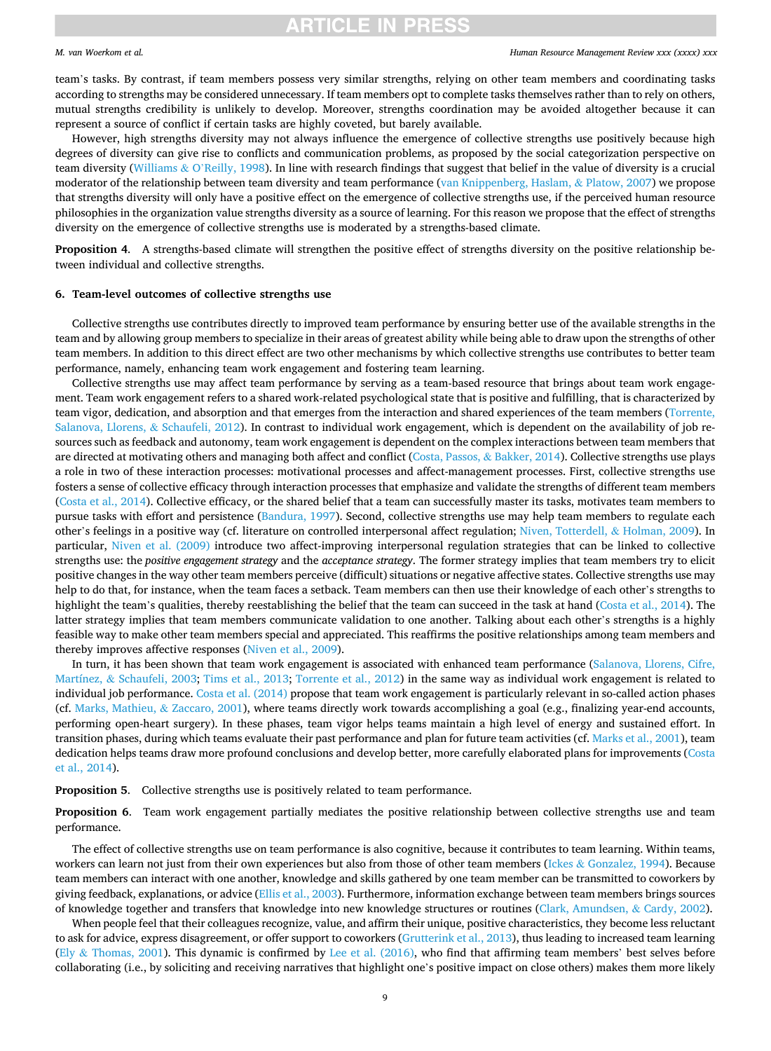# *M. van Woerkom et al.*

### *Human Resource Management Review xxx (xxxx) xxx*

team's tasks. By contrast, if team members possess very similar strengths, relying on other team members and coordinating tasks according to strengths may be considered unnecessary. If team members opt to complete tasks themselves rather than to rely on others, mutual strengths credibility is unlikely to develop. Moreover, strengths coordination may be avoided altogether because it can represent a source of conflict if certain tasks are highly coveted, but barely available.

However, high strengths diversity may not always influence the emergence of collective strengths use positively because high degrees of diversity can give rise to conflicts and communication problems, as proposed by the social categorization perspective on team diversity (Williams & O'[Reilly, 1998](#page-14-0)). In line with research findings that suggest that belief in the value of diversity is a crucial moderator of the relationship between team diversity and team performance [\(van Knippenberg, Haslam,](#page-13-0) & Platow, 2007) we propose that strengths diversity will only have a positive effect on the emergence of collective strengths use, if the perceived human resource philosophies in the organization value strengths diversity as a source of learning. For this reason we propose that the effect of strengths diversity on the emergence of collective strengths use is moderated by a strengths-based climate.

**Proposition 4**. A strengths-based climate will strengthen the positive effect of strengths diversity on the positive relationship between individual and collective strengths.

# **6. Team-level outcomes of collective strengths use**

Collective strengths use contributes directly to improved team performance by ensuring better use of the available strengths in the team and by allowing group members to specialize in their areas of greatest ability while being able to draw upon the strengths of other team members. In addition to this direct effect are two other mechanisms by which collective strengths use contributes to better team performance, namely, enhancing team work engagement and fostering team learning.

Collective strengths use may affect team performance by serving as a team-based resource that brings about team work engagement. Team work engagement refers to a shared work-related psychological state that is positive and fulfilling, that is characterized by team vigor, dedication, and absorption and that emerges from the interaction and shared experiences of the team members ([Torrente,](#page-14-0) [Salanova, Llorens,](#page-14-0) & Schaufeli, 2012). In contrast to individual work engagement, which is dependent on the availability of job resources such as feedback and autonomy, team work engagement is dependent on the complex interactions between team members that are directed at motivating others and managing both affect and conflict ([Costa, Passos,](#page-12-0) & Bakker, 2014). Collective strengths use plays a role in two of these interaction processes: motivational processes and affect-management processes. First, collective strengths use fosters a sense of collective efficacy through interaction processes that emphasize and validate the strengths of different team members [\(Costa et al., 2014](#page-12-0)). Collective efficacy, or the shared belief that a team can successfully master its tasks, motivates team members to pursue tasks with effort and persistence ([Bandura, 1997\)](#page-11-0). Second, collective strengths use may help team members to regulate each other's feelings in a positive way (cf. literature on controlled interpersonal affect regulation; [Niven, Totterdell,](#page-13-0) & Holman, 2009). In particular, [Niven et al. \(2009\)](#page-13-0) introduce two affect-improving interpersonal regulation strategies that can be linked to collective strengths use: the *positive engagement strategy* and the *acceptance strategy*. The former strategy implies that team members try to elicit positive changes in the way other team members perceive (difficult) situations or negative affective states. Collective strengths use may help to do that, for instance, when the team faces a setback. Team members can then use their knowledge of each other's strengths to highlight the team's qualities, thereby reestablishing the belief that the team can succeed in the task at hand ([Costa et al., 2014\)](#page-12-0). The latter strategy implies that team members communicate validation to one another. Talking about each other's strengths is a highly feasible way to make other team members special and appreciated. This reaffirms the positive relationships among team members and thereby improves affective responses ([Niven et al., 2009](#page-13-0)).

In turn, it has been shown that team work engagement is associated with enhanced team performance [\(Salanova, Llorens, Cifre,](#page-14-0) Martínez, & [Schaufeli, 2003](#page-14-0); [Tims et al., 2013](#page-14-0); [Torrente et al., 2012](#page-14-0)) in the same way as individual work engagement is related to individual job performance. [Costa et al. \(2014\)](#page-12-0) propose that team work engagement is particularly relevant in so-called action phases (cf. [Marks, Mathieu,](#page-13-0) & Zaccaro, 2001), where teams directly work towards accomplishing a goal (e.g., finalizing year-end accounts, performing open-heart surgery). In these phases, team vigor helps teams maintain a high level of energy and sustained effort. In transition phases, during which teams evaluate their past performance and plan for future team activities (cf. [Marks et al., 2001\)](#page-13-0), team dedication helps teams draw more profound conclusions and develop better, more carefully elaborated plans for improvements ([Costa](#page-12-0) [et al., 2014](#page-12-0)).

**Proposition 5**. Collective strengths use is positively related to team performance.

**Proposition 6**. Team work engagement partially mediates the positive relationship between collective strengths use and team performance.

The effect of collective strengths use on team performance is also cognitive, because it contributes to team learning. Within teams, workers can learn not just from their own experiences but also from those of other team members (Ickes & [Gonzalez, 1994\)](#page-13-0). Because team members can interact with one another, knowledge and skills gathered by one team member can be transmitted to coworkers by giving feedback, explanations, or advice ([Ellis et al., 2003](#page-12-0)). Furthermore, information exchange between team members brings sources of knowledge together and transfers that knowledge into new knowledge structures or routines [\(Clark, Amundsen,](#page-12-0) & Cardy, 2002).

When people feel that their colleagues recognize, value, and affirm their unique, positive characteristics, they become less reluctant to ask for advice, express disagreement, or offer support to coworkers [\(Grutterink et al., 2013\)](#page-12-0), thus leading to increased team learning (Ely  $\&$  [Thomas, 2001\)](#page-12-0). This dynamic is confirmed by [Lee et al. \(2016\),](#page-13-0) who find that affirming team members' best selves before collaborating (i.e., by soliciting and receiving narratives that highlight one's positive impact on close others) makes them more likely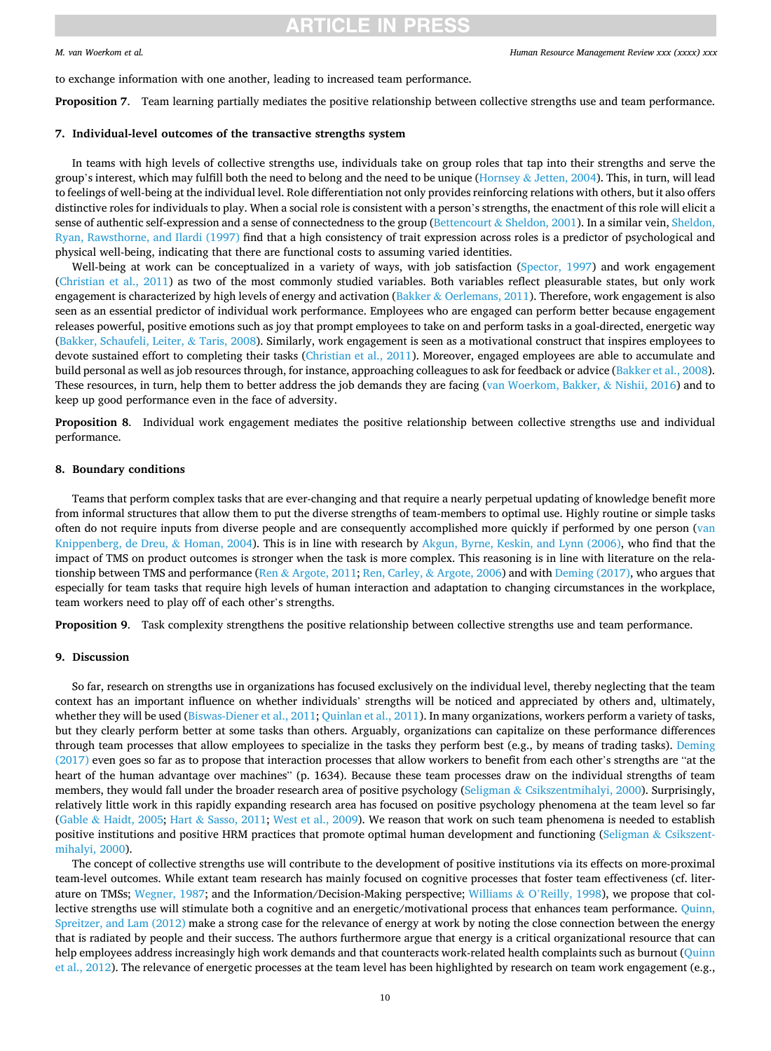# *M. van Woerkom et al.*

### *Human Resource Management Review xxx (xxxx) xxx*

## to exchange information with one another, leading to increased team performance.

**Proposition 7**. Team learning partially mediates the positive relationship between collective strengths use and team performance.

**RTICLE IN PRESS** 

# **7. Individual-level outcomes of the transactive strengths system**

In teams with high levels of collective strengths use, individuals take on group roles that tap into their strengths and serve the group's interest, which may fulfill both the need to belong and the need to be unique (Hornsey & [Jetten, 2004](#page-12-0)). This, in turn, will lead to feelings of well-being at the individual level. Role differentiation not only provides reinforcing relations with others, but it also offers distinctive roles for individuals to play. When a social role is consistent with a person's strengths, the enactment of this role will elicit a sense of authentic self-expression and a sense of connectedness to the group (Bettencourt & [Sheldon, 2001\)](#page-11-0). In a similar vein, [Sheldon,](#page-14-0) [Ryan, Rawsthorne, and Ilardi \(1997\)](#page-14-0) find that a high consistency of trait expression across roles is a predictor of psychological and physical well-being, indicating that there are functional costs to assuming varied identities.

Well-being at work can be conceptualized in a variety of ways, with job satisfaction [\(Spector, 1997](#page-14-0)) and work engagement [\(Christian et al., 2011](#page-12-0)) as two of the most commonly studied variables. Both variables reflect pleasurable states, but only work engagement is characterized by high levels of energy and activation (Bakker & [Oerlemans, 2011\)](#page-11-0). Therefore, work engagement is also seen as an essential predictor of individual work performance. Employees who are engaged can perform better because engagement releases powerful, positive emotions such as joy that prompt employees to take on and perform tasks in a goal-directed, energetic way [\(Bakker, Schaufeli, Leiter,](#page-11-0) & Taris, 2008). Similarly, work engagement is seen as a motivational construct that inspires employees to devote sustained effort to completing their tasks [\(Christian et al., 2011](#page-12-0)). Moreover, engaged employees are able to accumulate and build personal as well as job resources through, for instance, approaching colleagues to ask for feedback or advice [\(Bakker et al., 2008](#page-11-0)). These resources, in turn, help them to better address the job demands they are facing ([van Woerkom, Bakker,](#page-14-0) & Nishii, 2016) and to keep up good performance even in the face of adversity.

**Proposition 8**. Individual work engagement mediates the positive relationship between collective strengths use and individual performance.

# **8. Boundary conditions**

Teams that perform complex tasks that are ever-changing and that require a nearly perpetual updating of knowledge benefit more from informal structures that allow them to put the diverse strengths of team-members to optimal use. Highly routine or simple tasks often do not require inputs from diverse people and are consequently accomplished more quickly if performed by one person [\(van](#page-13-0) [Knippenberg, de Dreu,](#page-13-0) & Homan, 2004). This is in line with research by [Akgun, Byrne, Keskin, and Lynn \(2006\),](#page-11-0) who find that the impact of TMS on product outcomes is stronger when the task is more complex. This reasoning is in line with literature on the rela-tionship between TMS and performance (Ren & [Argote, 2011](#page-13-0); Ren, Carley, & [Argote, 2006\)](#page-14-0) and with [Deming \(2017\)](#page-12-0), who argues that especially for team tasks that require high levels of human interaction and adaptation to changing circumstances in the workplace, team workers need to play off of each other's strengths.

**Proposition 9**. Task complexity strengthens the positive relationship between collective strengths use and team performance.

# **9. Discussion**

So far, research on strengths use in organizations has focused exclusively on the individual level, thereby neglecting that the team context has an important influence on whether individuals' strengths will be noticed and appreciated by others and, ultimately, whether they will be used ([Biswas-Diener et al., 2011](#page-11-0); [Quinlan et al., 2011](#page-13-0)). In many organizations, workers perform a variety of tasks, but they clearly perform better at some tasks than others. Arguably, organizations can capitalize on these performance differences through team processes that allow employees to specialize in the tasks they perform best (e.g., by means of trading tasks). [Deming](#page-12-0) [\(2017\)](#page-12-0) even goes so far as to propose that interaction processes that allow workers to benefit from each other's strengths are "at the heart of the human advantage over machines" (p. 1634). Because these team processes draw on the individual strengths of team members, they would fall under the broader research area of positive psychology (Seligman & [Csikszentmihalyi, 2000](#page-14-0)). Surprisingly, relatively little work in this rapidly expanding research area has focused on positive psychology phenomena at the team level so far (Gable & [Haidt, 2005](#page-12-0); Hart & [Sasso, 2011](#page-12-0); [West et al., 2009\)](#page-14-0). We reason that work on such team phenomena is needed to establish positive institutions and positive HRM practices that promote optimal human development and functioning (Seligman & [Csikszent](#page-14-0)[mihalyi, 2000](#page-14-0)).

The concept of collective strengths use will contribute to the development of positive institutions via its effects on more-proximal team-level outcomes. While extant team research has mainly focused on cognitive processes that foster team effectiveness (cf. literature on TMSs; [Wegner, 1987;](#page-14-0) and the Information/Decision-Making perspective; Williams & O'[Reilly, 1998\)](#page-14-0), we propose that collective strengths use will stimulate both a cognitive and an energetic/motivational process that enhances team performance. [Quinn,](#page-13-0) [Spreitzer, and Lam \(2012\)](#page-13-0) make a strong case for the relevance of energy at work by noting the close connection between the energy that is radiated by people and their success. The authors furthermore argue that energy is a critical organizational resource that can help employees address increasingly high work demands and that counteracts work-related health complaints such as burnout [\(Quinn](#page-13-0) [et al., 2012](#page-13-0)). The relevance of energetic processes at the team level has been highlighted by research on team work engagement (e.g.,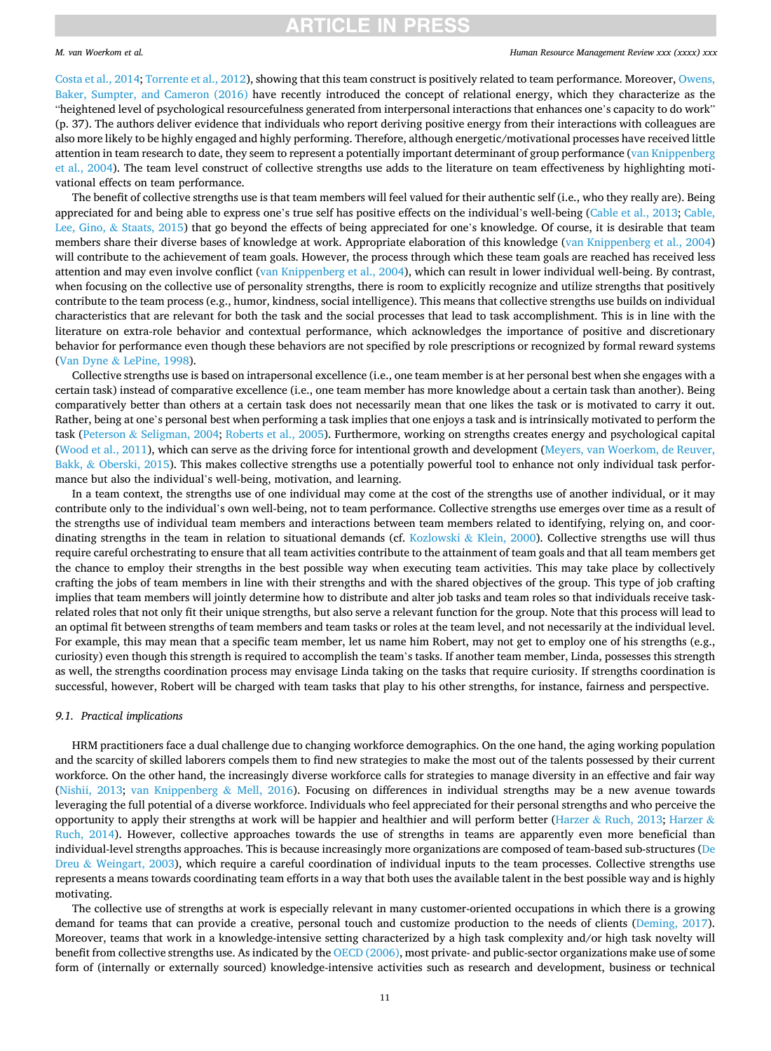## *M. van Woerkom et al.*

### *Human Resource Management Review xxx (xxxx) xxx*

[Costa et al., 2014;](#page-12-0) [Torrente et al., 2012\)](#page-14-0), showing that this team construct is positively related to team performance. Moreover, [Owens,](#page-13-0) [Baker, Sumpter, and Cameron \(2016\)](#page-13-0) have recently introduced the concept of relational energy, which they characterize as the "heightened level of psychological resourcefulness generated from interpersonal interactions that enhances one's capacity to do work" (p. 37). The authors deliver evidence that individuals who report deriving positive energy from their interactions with colleagues are also more likely to be highly engaged and highly performing. Therefore, although energetic/motivational processes have received little attention in team research to date, they seem to represent a potentially important determinant of group performance ([van Knippenberg](#page-13-0) [et al., 2004\)](#page-13-0). The team level construct of collective strengths use adds to the literature on team effectiveness by highlighting motivational effects on team performance.

The benefit of collective strengths use is that team members will feel valued for their authentic self (i.e., who they really are). Being appreciated for and being able to express one's true self has positive effects on the individual's well-being ([Cable et al., 2013; Cable,](#page-12-0) Lee, Gino, & [Staats, 2015\)](#page-12-0) that go beyond the effects of being appreciated for one's knowledge. Of course, it is desirable that team members share their diverse bases of knowledge at work. Appropriate elaboration of this knowledge ([van Knippenberg et al., 2004](#page-13-0)) will contribute to the achievement of team goals. However, the process through which these team goals are reached has received less attention and may even involve conflict ([van Knippenberg et al., 2004\)](#page-13-0), which can result in lower individual well-being. By contrast, when focusing on the collective use of personality strengths, there is room to explicitly recognize and utilize strengths that positively contribute to the team process (e.g., humor, kindness, social intelligence). This means that collective strengths use builds on individual characteristics that are relevant for both the task and the social processes that lead to task accomplishment. This is in line with the literature on extra-role behavior and contextual performance, which acknowledges the importance of positive and discretionary behavior for performance even though these behaviors are not specified by role prescriptions or recognized by formal reward systems (Van Dyne & [LePine, 1998\)](#page-12-0).

Collective strengths use is based on intrapersonal excellence (i.e., one team member is at her personal best when she engages with a certain task) instead of comparative excellence (i.e., one team member has more knowledge about a certain task than another). Being comparatively better than others at a certain task does not necessarily mean that one likes the task or is motivated to carry it out. Rather, being at one's personal best when performing a task implies that one enjoys a task and is intrinsically motivated to perform the task (Peterson & [Seligman, 2004;](#page-13-0) [Roberts et al., 2005\)](#page-14-0). Furthermore, working on strengths creates energy and psychological capital [\(Wood et al., 2011](#page-14-0)), which can serve as the driving force for intentional growth and development ([Meyers, van Woerkom, de Reuver,](#page-13-0) Bakk, & [Oberski, 2015\)](#page-13-0). This makes collective strengths use a potentially powerful tool to enhance not only individual task performance but also the individual's well-being, motivation, and learning.

In a team context, the strengths use of one individual may come at the cost of the strengths use of another individual, or it may contribute only to the individual's own well-being, not to team performance. Collective strengths use emerges over time as a result of the strengths use of individual team members and interactions between team members related to identifying, relying on, and coor-dinating strengths in the team in relation to situational demands (cf. Kozlowski & [Klein, 2000\)](#page-13-0). Collective strengths use will thus require careful orchestrating to ensure that all team activities contribute to the attainment of team goals and that all team members get the chance to employ their strengths in the best possible way when executing team activities. This may take place by collectively crafting the jobs of team members in line with their strengths and with the shared objectives of the group. This type of job crafting implies that team members will jointly determine how to distribute and alter job tasks and team roles so that individuals receive taskrelated roles that not only fit their unique strengths, but also serve a relevant function for the group. Note that this process will lead to an optimal fit between strengths of team members and team tasks or roles at the team level, and not necessarily at the individual level. For example, this may mean that a specific team member, let us name him Robert, may not get to employ one of his strengths (e.g., curiosity) even though this strength is required to accomplish the team's tasks. If another team member, Linda, possesses this strength as well, the strengths coordination process may envisage Linda taking on the tasks that require curiosity. If strengths coordination is successful, however, Robert will be charged with team tasks that play to his other strengths, for instance, fairness and perspective.

## *9.1. Practical implications*

HRM practitioners face a dual challenge due to changing workforce demographics. On the one hand, the aging working population and the scarcity of skilled laborers compels them to find new strategies to make the most out of the talents possessed by their current workforce. On the other hand, the increasingly diverse workforce calls for strategies to manage diversity in an effective and fair way [\(Nishii, 2013;](#page-13-0) [van Knippenberg](#page-13-0) & Mell, 2016). Focusing on differences in individual strengths may be a new avenue towards leveraging the full potential of a diverse workforce. Individuals who feel appreciated for their personal strengths and who perceive the opportunity to apply their strengths at work will be happier and healthier and will perform better ([Harzer](#page-12-0)  $\&$  [Ruch, 2013](#page-12-0); Harzer  $\&$ [Ruch, 2014\)](#page-12-0). However, collective approaches towards the use of strengths in teams are apparently even more beneficial than individual-level strengths approaches. This is because increasingly more organizations are composed of team-based sub-structures ([De](#page-12-0) Dreu & [Weingart, 2003](#page-12-0)), which require a careful coordination of individual inputs to the team processes. Collective strengths use represents a means towards coordinating team efforts in a way that both uses the available talent in the best possible way and is highly motivating.

The collective use of strengths at work is especially relevant in many customer-oriented occupations in which there is a growing demand for teams that can provide a creative, personal touch and customize production to the needs of clients [\(Deming, 2017](#page-12-0)). Moreover, teams that work in a knowledge-intensive setting characterized by a high task complexity and/or high task novelty will benefit from collective strengths use. As indicated by the [OECD \(2006\)](#page-13-0), most private- and public-sector organizations make use of some form of (internally or externally sourced) knowledge-intensive activities such as research and development, business or technical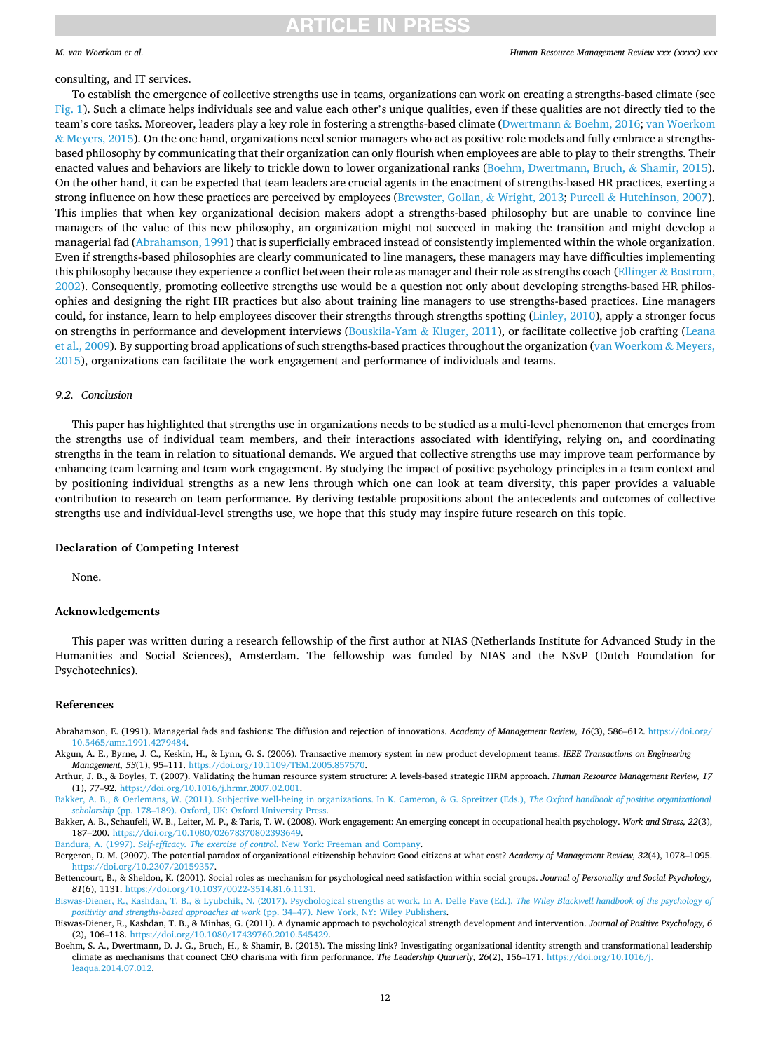### *Human Resource Management Review xxx (xxxx) xxx*

### <span id="page-11-0"></span>*M. van Woerkom et al.*

### consulting, and IT services.

To establish the emergence of collective strengths use in teams, organizations can work on creating a strengths-based climate (see [Fig. 1\)](#page-1-0). Such a climate helps individuals see and value each other's unique qualities, even if these qualities are not directly tied to the team's core tasks. Moreover, leaders play a key role in fostering a strengths-based climate (Dwertmann & [Boehm, 2016](#page-12-0); [van Woerkom](#page-14-0)  $&$  [Meyers, 2015](#page-14-0)). On the one hand, organizations need senior managers who act as positive role models and fully embrace a strengthsbased philosophy by communicating that their organization can only flourish when employees are able to play to their strengths. Their enacted values and behaviors are likely to trickle down to lower organizational ranks (Boehm, Dwertmann, Bruch, & Shamir, 2015). On the other hand, it can be expected that team leaders are crucial agents in the enactment of strengths-based HR practices, exerting a strong influence on how these practices are perceived by employees ([Brewster, Gollan,](#page-12-0) & Wright, 2013; Purcell & [Hutchinson, 2007](#page-13-0)). This implies that when key organizational decision makers adopt a strengths-based philosophy but are unable to convince line managers of the value of this new philosophy, an organization might not succeed in making the transition and might develop a managerial fad (Abrahamson, 1991) that is superficially embraced instead of consistently implemented within the whole organization. Even if strengths-based philosophies are clearly communicated to line managers, these managers may have difficulties implementing this philosophy because they experience a conflict between their role as manager and their role as strengths coach (Ellinger & [Bostrom,](#page-12-0) [2002\)](#page-12-0). Consequently, promoting collective strengths use would be a question not only about developing strengths-based HR philosophies and designing the right HR practices but also about training line managers to use strengths-based practices. Line managers could, for instance, learn to help employees discover their strengths through strengths spotting ([Linley, 2010\)](#page-13-0), apply a stronger focus on strengths in performance and development interviews [\(Bouskila-Yam](#page-12-0)  $\&$  Kluger, 2011), or facilitate collective job crafting [\(Leana](#page-13-0) [et al., 2009\)](#page-13-0). By supporting broad applications of such strengths-based practices throughout the organization ([van Woerkom](#page-14-0) & Meyers, [2015\)](#page-14-0), organizations can facilitate the work engagement and performance of individuals and teams.

# *9.2. Conclusion*

This paper has highlighted that strengths use in organizations needs to be studied as a multi-level phenomenon that emerges from the strengths use of individual team members, and their interactions associated with identifying, relying on, and coordinating strengths in the team in relation to situational demands. We argued that collective strengths use may improve team performance by enhancing team learning and team work engagement. By studying the impact of positive psychology principles in a team context and by positioning individual strengths as a new lens through which one can look at team diversity, this paper provides a valuable contribution to research on team performance. By deriving testable propositions about the antecedents and outcomes of collective strengths use and individual-level strengths use, we hope that this study may inspire future research on this topic.

## **Declaration of Competing Interest**

None.

# **Acknowledgements**

This paper was written during a research fellowship of the first author at NIAS (Netherlands Institute for Advanced Study in the Humanities and Social Sciences), Amsterdam. The fellowship was funded by NIAS and the NSvP (Dutch Foundation for Psychotechnics).

# **References**

Abrahamson, E. (1991). Managerial fads and fashions: The diffusion and rejection of innovations. *Academy of Management Review, 16*(3), 586–612. [https://doi.org/](https://doi.org/10.5465/amr.1991.4279484) [10.5465/amr.1991.4279484.](https://doi.org/10.5465/amr.1991.4279484)

Akgun, A. E., Byrne, J. C., Keskin, H., & Lynn, G. S. (2006). Transactive memory system in new product development teams. *IEEE Transactions on Engineering Management, 53*(1), 95–111. [https://doi.org/10.1109/TEM.2005.857570.](https://doi.org/10.1109/TEM.2005.857570)

Arthur, J. B., & Boyles, T. (2007). Validating the human resource system structure: A levels-based strategic HRM approach. *Human Resource Management Review, 17*  (1), 77–92. [https://doi.org/10.1016/j.hrmr.2007.02.001.](https://doi.org/10.1016/j.hrmr.2007.02.001)

[Bakker, A. B., & Oerlemans, W. \(2011\). Subjective well-being in organizations. In K. Cameron, & G. Spreitzer \(Eds.\),](http://refhub.elsevier.com/S1053-4822(20)30040-1/rf0020) *The Oxford handbook of positive organizational scholarship* (pp. 178–[189\). Oxford, UK: Oxford University Press](http://refhub.elsevier.com/S1053-4822(20)30040-1/rf0020).

Bakker, A. B., Schaufeli, W. B., Leiter, M. P., & Taris, T. W. (2008). Work engagement: An emerging concept in occupational health psychology. *Work and Stress, 22*(3), 187–200. <https://doi.org/10.1080/02678370802393649>.

Bandura, A. (1997). *Self-efficacy. The exercise of control*[. New York: Freeman and Company](http://refhub.elsevier.com/S1053-4822(20)30040-1/rf0030).

Bergeron, D. M. (2007). The potential paradox of organizational citizenship behavior: Good citizens at what cost? *Academy of Management Review, 32*(4), 1078–1095. <https://doi.org/10.2307/20159357>.

Bettencourt, B., & Sheldon, K. (2001). Social roles as mechanism for psychological need satisfaction within social groups. *Journal of Personality and Social Psychology, 81*(6), 1131. [https://doi.org/10.1037/0022-3514.81.6.1131.](https://doi.org/10.1037/0022-3514.81.6.1131)

[Biswas-Diener, R., Kashdan, T. B., & Lyubchik, N. \(2017\). Psychological strengths at work. In A. Delle Fave \(Ed.\),](http://refhub.elsevier.com/S1053-4822(20)30040-1/rf0045) *The Wiley Blackwell handbook of the psychology of [positivity and strengths-based approaches at work](http://refhub.elsevier.com/S1053-4822(20)30040-1/rf0045)* (pp. 34–47). New York, NY: Wiley Publishers.

Biswas-Diener, R., Kashdan, T. B., & Minhas, G. (2011). A dynamic approach to psychological strength development and intervention. *Journal of Positive Psychology, 6*  (2), 106–118. [https://doi.org/10.1080/17439760.2010.545429.](https://doi.org/10.1080/17439760.2010.545429)

Boehm, S. A., Dwertmann, D. J. G., Bruch, H., & Shamir, B. (2015). The missing link? Investigating organizational identity strength and transformational leadership climate as mechanisms that connect CEO charisma with firm performance. *The Leadership Quarterly, 26*(2), 156–171. [https://doi.org/10.1016/j.](https://doi.org/10.1016/j.leaqua.2014.07.012)  [leaqua.2014.07.012](https://doi.org/10.1016/j.leaqua.2014.07.012).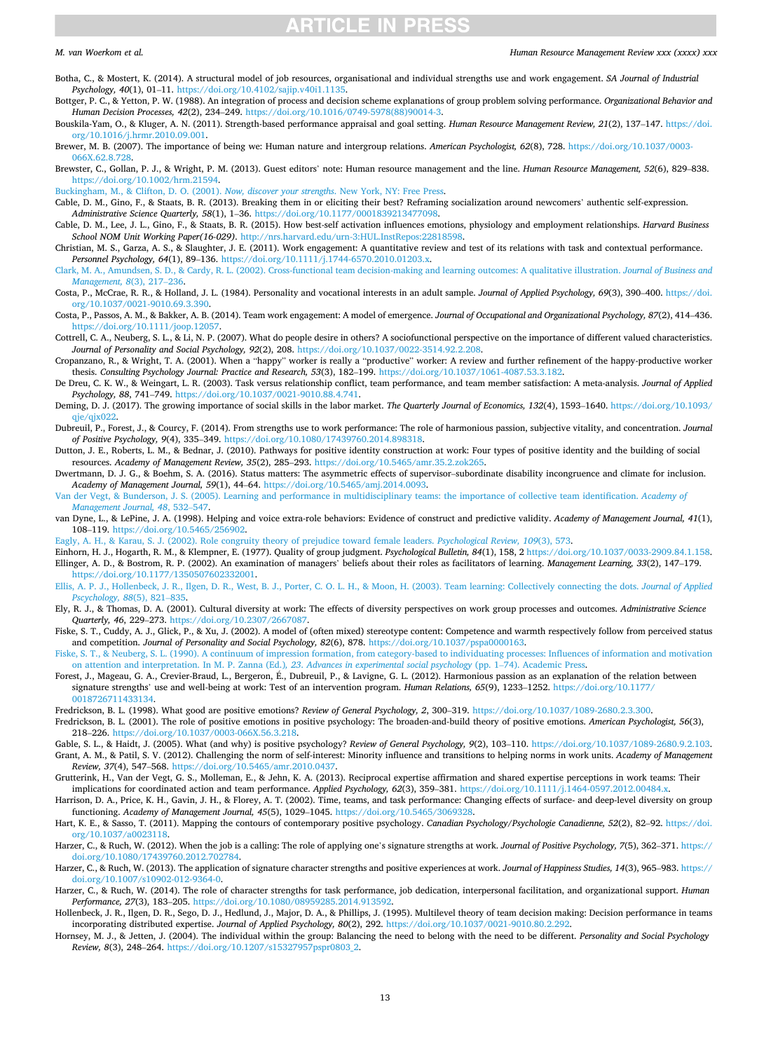### <span id="page-12-0"></span>*M. van Woerkom et al.*

#### *Human Resource Management Review xxx (xxxx) xxx*

Botha, C., & Mostert, K. (2014). A structural model of job resources, organisational and individual strengths use and work engagement. *SA Journal of Industrial Psychology, 40*(1), 01–11. [https://doi.org/10.4102/sajip.v40i1.1135.](https://doi.org/10.4102/sajip.v40i1.1135)

Bottger, P. C., & Yetton, P. W. (1988). An integration of process and decision scheme explanations of group problem solving performance. *Organizational Behavior and Human Decision Processes, 42*(2), 234–249. [https://doi.org/10.1016/0749-5978\(88\)90014-3.](https://doi.org/10.1016/0749-5978(88)90014-3)

Bouskila-Yam, O., & Kluger, A. N. (2011). Strength-based performance appraisal and goal setting. *Human Resource Management Review, 21*(2), 137–147. [https://doi.](https://doi.org/10.1016/j.hrmr.2010.09.001) [org/10.1016/j.hrmr.2010.09.001](https://doi.org/10.1016/j.hrmr.2010.09.001).

Brewer, M. B. (2007). The importance of being we: Human nature and intergroup relations. *American Psychologist, 62*(8), 728. [https://doi.org/10.1037/0003-](https://doi.org/10.1037/0003-066X.62.8.728)  [066X.62.8.728.](https://doi.org/10.1037/0003-066X.62.8.728)

Brewster, C., Gollan, P. J., & Wright, P. M. (2013). Guest editors' note: Human resource management and the line. *Human Resource Management, 52*(6), 829–838. <https://doi.org/10.1002/hrm.21594>.

[Buckingham, M., & Clifton, D. O. \(2001\).](http://refhub.elsevier.com/S1053-4822(20)30040-1/opteKYpeSCEye) *Now, discover your strengths*. New York, NY: Free Press.

Cable, D. M., Gino, F., & Staats, B. R. (2013). Breaking them in or eliciting their best? Reframing socialization around newcomers' authentic self-expression. *Administrative Science Quarterly, 58*(1), 1–36. <https://doi.org/10.1177/0001839213477098>.

Cable, D. M., Lee, J. L., Gino, F., & Staats, B. R. (2015). How best-self activation influences emotions, physiology and employment relationships. *Harvard Business School NOM Unit Working Paper(16-029)*. [http://nrs.harvard.edu/urn-3:HUL.InstRepos:22818598.](http://nrs.harvard.edu/urn-3:HUL.InstRepos:22818598)

Christian, M. S., Garza, A. S., & Slaughter, J. E. (2011). Work engagement: A quantitative review and test of its relations with task and contextual performance. *Personnel Psychology, 64*(1), 89–136.<https://doi.org/10.1111/j.1744-6570.2010.01203.x>.

[Clark, M. A., Amundsen, S. D., & Cardy, R. L. \(2002\). Cross-functional team decision-making and learning outcomes: A qualitative illustration.](http://refhub.elsevier.com/S1053-4822(20)30040-1/opt9yFBO0BpO8) *Journal of Business and [Management, 8](http://refhub.elsevier.com/S1053-4822(20)30040-1/opt9yFBO0BpO8)*(3), 217–236.

Costa, P., McCrae, R. R., & Holland, J. L. (1984). Personality and vocational interests in an adult sample. *Journal of Applied Psychology, 69*(3), 390–400. [https://doi.](https://doi.org/10.1037/0021-9010.69.3.390) [org/10.1037/0021-9010.69.3.390](https://doi.org/10.1037/0021-9010.69.3.390).

Costa, P., Passos, A. M., & Bakker, A. B. (2014). Team work engagement: A model of emergence. *Journal of Occupational and Organizational Psychology, 87*(2), 414–436. [https://doi.org/10.1111/joop.12057.](https://doi.org/10.1111/joop.12057)

Cottrell, C. A., Neuberg, S. L., & Li, N. P. (2007). What do people desire in others? A sociofunctional perspective on the importance of different valued characteristics. Journal of Personality and Social Psychology, 92(2), 208. https://doi.org/10.1037/0022-3514.92.

Cropanzano, R., & Wright, T. A. (2001). When a "happy" worker is really a "productive" worker: A review and further refinement of the happy-productive worker thesis. *Consulting Psychology Journal: Practice and Research, 53*(3), 182–199. <https://doi.org/10.1037/1061-4087.53.3.182>.

De Dreu, C. K. W., & Weingart, L. R. (2003). Task versus relationship conflict, team performance, and team member satisfaction: A meta-analysis. *Journal of Applied Psychology, 88*, 741–749. <https://doi.org/10.1037/0021-9010.88.4.741>.

Deming, D. J. (2017). The growing importance of social skills in the labor market. *The Quarterly Journal of Economics, 132*(4), 1593–1640. [https://doi.org/10.1093/](https://doi.org/10.1093/qje/qjx022)  $q$ ie/ $q$ ix $022$ .

Dubreuil, P., Forest, J., & Courcy, F. (2014). From strengths use to work performance: The role of harmonious passion, subjective vitality, and concentration. *Journal of Positive Psychology, 9*(4), 335–349.<https://doi.org/10.1080/17439760.2014.898318>.

Dutton, J. E., Roberts, L. M., & Bednar, J. (2010). Pathways for positive identity construction at work: Four types of positive identity and the building of social resources. *Academy of Management Review, 35*(2), 285–293. [https://doi.org/10.5465/amr.35.2.zok265.](https://doi.org/10.5465/amr.35.2.zok265)

Dwertmann, D. J. G., & Boehm, S. A. (2016). Status matters: The asymmetric effects of supervisor–subordinate disability incongruence and climate for inclusion. *Academy of Management Journal, 59*(1), 44–64.<https://doi.org/10.5465/amj.2014.0093>.

[Van der Vegt, & Bunderson, J. S. \(2005\). Learning and performance in multidisciplinary teams: the importance of collective team identification.](http://refhub.elsevier.com/S1053-4822(20)30040-1/opt5GMo1ytDLl) *Academy of [Management Journal, 48](http://refhub.elsevier.com/S1053-4822(20)30040-1/opt5GMo1ytDLl)*, 532–547.

van Dyne, L., & LePine, J. A. (1998). Helping and voice extra-role behaviors: Evidence of construct and predictive validity. *Academy of Management Journal, 41*(1), 108–119. [https://doi.org/10.5465/256902.](https://doi.org/10.5465/256902)

[Eagly, A. H., & Karau, S. J. \(2002\). Role congruity theory of prejudice toward female leaders.](http://refhub.elsevier.com/S1053-4822(20)30040-1/rf0150) *Psychological Review, 109*(3), 573.

Einhorn, H. J., Hogarth, R. M., & Klempner, E. (1977). Quality of group judgment. *Psychological Bulletin, 84*(1), 158, 2<https://doi.org/10.1037/0033-2909.84.1.158>. Ellinger, A. D., & Bostrom, R. P. (2002). An examination of managers' beliefs about their roles as facilitators of learning. *Management Learning, 33*(2), 147–179. <https://doi.org/10.1177/1350507602332001>.

[Ellis, A. P. J., Hollenbeck, J. R., Ilgen, D. R., West, B. J., Porter, C. O. L. H., & Moon, H. \(2003\). Team learning: Collectively connecting the dots.](http://refhub.elsevier.com/S1053-4822(20)30040-1/optSPJoQsBknk) *Journal of Applied [Pscychology, 88](http://refhub.elsevier.com/S1053-4822(20)30040-1/optSPJoQsBknk)*(5), 821–835.

- Ely, R. J., & Thomas, D. A. (2001). Cultural diversity at work: The effects of diversity perspectives on work group processes and outcomes. *Administrative Science Quarterly, 46*, 229–273. [https://doi.org/10.2307/2667087.](https://doi.org/10.2307/2667087)
- Fiske, S. T., Cuddy, A. J., Glick, P., & Xu, J. (2002). A model of (often mixed) stereotype content: Competence and warmth respectively follow from perceived status and competition. *Journal of Personality and Social Psychology, 82*(6), 878.<https://doi.org/10.1037/pspa0000163>.

[Fiske, S. T., & Neuberg, S. L. \(1990\). A continuum of impression formation, from category-based to individuating processes: Influences of information and motivation](http://refhub.elsevier.com/S1053-4822(20)30040-1/optaA73VvlGyF) [on attention and interpretation. In M. P. Zanna \(Ed.\)](http://refhub.elsevier.com/S1053-4822(20)30040-1/optaA73VvlGyF)*, 23*. *Advances in experimental social psychology* (pp. 1–74). Academic Press.

Forest, J., Mageau, G. A., Crevier-Braud, L., Bergeron, É., Dubreuil, P., & Lavigne, G. L. (2012). Harmonious passion as an explanation of the relation between signature strengths' use and well-being at work: Test of an intervention program. *Human Relations, 65*(9), 1233–1252. [https://doi.org/10.1177/](https://doi.org/10.1177/0018726711433134)  [0018726711433134](https://doi.org/10.1177/0018726711433134).

Fredrickson, B. L. (1998). What good are positive emotions? *Review of General Psychology, 2*, 300–319. [https://doi.org/10.1037/1089-2680.2.3.300.](https://doi.org/10.1037/1089-2680.2.3.300)

Fredrickson, B. L. (2001). The role of positive emotions in positive psychology: The broaden-and-build theory of positive emotions. *American Psychologist, 56*(3), 218–226. <https://doi.org/10.1037/0003-066X.56.3.218>.

Gable, S. L., & Haidt, J. (2005). What (and why) is positive psychology? *Review of General Psychology, 9*(2), 103–110. <https://doi.org/10.1037/1089-2680.9.2.103>. Grant, A. M., & Patil, S. V. (2012). Challenging the norm of self-interest: Minority influence and transitions to helping norms in work units. *Academy of Management Review, 37*(4), 547–568. [https://doi.org/10.5465/amr.2010.0437.](https://doi.org/10.5465/amr.2010.0437)

Grutterink, H., Van der Vegt, G. S., Molleman, E., & Jehn, K. A. (2013). Reciprocal expertise affirmation and shared expertise perceptions in work teams: Their implications for coordinated action and team performance. *Applied Psychology, 62*(3), 359–381. <https://doi.org/10.1111/j.1464-0597.2012.00484.x>.

Harrison, D. A., Price, K. H., Gavin, J. H., & Florey, A. T. (2002). Time, teams, and task performance: Changing effects of surface- and deep-level diversity on group functioning. *Academy of Management Journal, 45*(5), 1029–1045. [https://doi.org/10.5465/3069328.](https://doi.org/10.5465/3069328)

Hart, K. E., & Sasso, T. (2011). Mapping the contours of contemporary positive psychology. *Canadian Psychology/Psychologie Canadienne, 52*(2), 82–92. [https://doi.](https://doi.org/10.1037/a0023118) [org/10.1037/a0023118](https://doi.org/10.1037/a0023118).

Harzer, C., & Ruch, W. (2012). When the job is a calling: The role of applying one's signature strengths at work. *Journal of Positive Psychology, 7*(5), 362–371. [https://](https://doi.org/10.1080/17439760.2012.702784) [doi.org/10.1080/17439760.2012.702784.](https://doi.org/10.1080/17439760.2012.702784)

Harzer, C., & Ruch, W. (2013). The application of signature character strengths and positive experiences at work. *Journal of Happiness Studies, 14*(3), 965–983. [https://](https://doi.org/10.1007/s10902-012-9364-0) [doi.org/10.1007/s10902-012-9364-0.](https://doi.org/10.1007/s10902-012-9364-0)

Harzer, C., & Ruch, W. (2014). The role of character strengths for task performance, job dedication, interpersonal facilitation, and organizational support. *Human Performance, 27*(3), 183–205. <https://doi.org/10.1080/08959285.2014.913592>.

Hollenbeck, J. R., Ilgen, D. R., Sego, D. J., Hedlund, J., Major, D. A., & Phillips, J. (1995). Multilevel theory of team decision making: Decision performance in teams incorporating distributed expertise. *Journal of Applied Psychology, 80*(2), 292. <https://doi.org/10.1037/0021-9010.80.2.292>.

Hornsey, M. J., & Jetten, J. (2004). The individual within the group: Balancing the need to belong with the need to be different. *Personality and Social Psychology Review, 8*(3), 248–264. [https://doi.org/10.1207/s15327957pspr0803\\_2](https://doi.org/10.1207/s15327957pspr0803_2).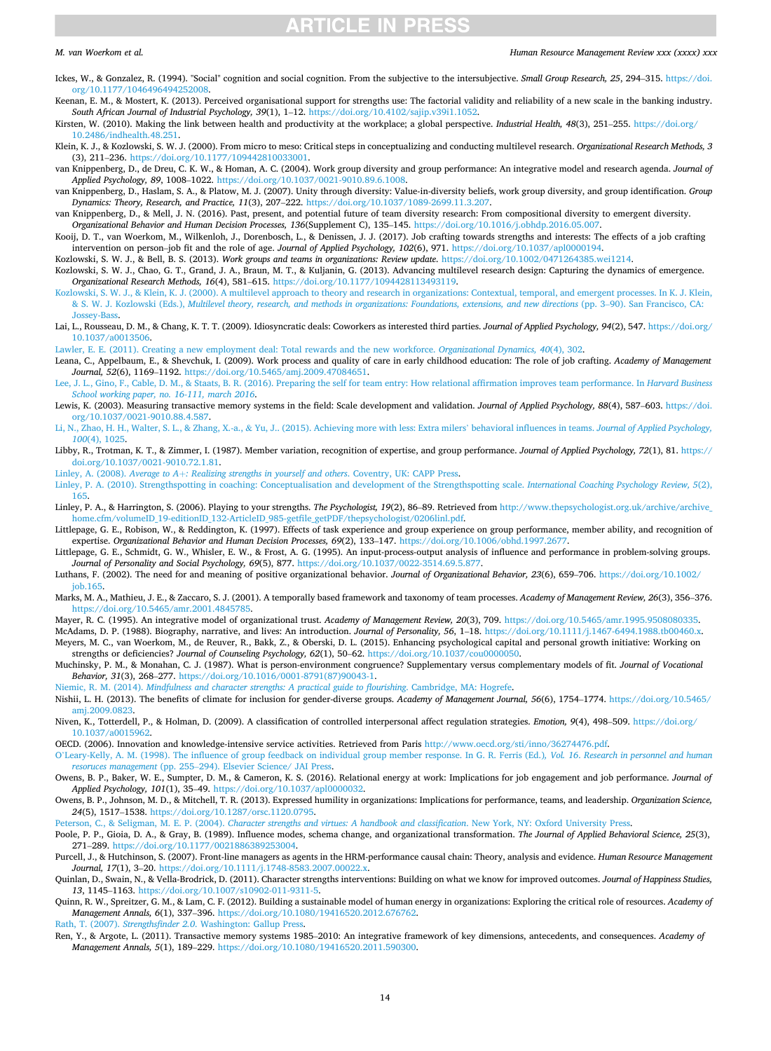## <span id="page-13-0"></span>*M. van Woerkom et al.*

### *Human Resource Management Review xxx (xxxx) xxx*

Ickes, W., & Gonzalez, R. (1994). "Social" cognition and social cognition. From the subjective to the intersubjective. *Small Group Research, 25*, 294–315. [https://doi.](https://doi.org/10.1177/1046496494252008) [org/10.1177/1046496494252008](https://doi.org/10.1177/1046496494252008).

Keenan, E. M., & Mostert, K. (2013). Perceived organisational support for strengths use: The factorial validity and reliability of a new scale in the banking industry. *South African Journal of Industrial Psychology, 39*(1), 1–12. <https://doi.org/10.4102/sajip.v39i1.1052>.

Kirsten, W. (2010). Making the link between health and productivity at the workplace; a global perspective. *Industrial Health, 48*(3), 251–255. [https://doi.org/](https://doi.org/10.2486/indhealth.48.251) [10.2486/indhealth.48.251.](https://doi.org/10.2486/indhealth.48.251)

Klein, K. J., & Kozlowski, S. W. J. (2000). From micro to meso: Critical steps in conceptualizing and conducting multilevel research. *Organizational Research Methods, 3*  (3), 211–236. [https://doi.org/10.1177/109442810033001.](https://doi.org/10.1177/109442810033001)

van Knippenberg, D., de Dreu, C. K. W., & Homan, A. C. (2004). Work group diversity and group performance: An integrative model and research agenda. *Journal of Applied Psychology, 89*, 1008–1022.<https://doi.org/10.1037/0021-9010.89.6.1008>.

van Knippenberg, D., Haslam, S. A., & Platow, M. J. (2007). Unity through diversity: Value-in-diversity beliefs, work group diversity, and group identification. *Group Dynamics: Theory, Research, and Practice, 11*(3), 207–222. [https://doi.org/10.1037/1089-2699.11.3.207.](https://doi.org/10.1037/1089-2699.11.3.207)

van Knippenberg, D., & Mell, J. N. (2016). Past, present, and potential future of team diversity research: From compositional diversity to emergent diversity. *Organizational Behavior and Human Decision Processes, 136*(Supplement C), 135–145. <https://doi.org/10.1016/j.obhdp.2016.05.007>.

Kooij, D. T., van Woerkom, M., Wilkenloh, J., Dorenbosch, L., & Denissen, J. J. (2017). Job crafting towards strengths and interests: The effects of a job crafting intervention on person–job fit and the role of age. *Journal of Applied Psychology, 102*(6), 971. [https://doi.org/10.1037/apl0000194.](https://doi.org/10.1037/apl0000194)

Kozlowski, S. W. J., & Bell, B. S. (2013). *Work groups and teams in organizations: Review update*. [https://doi.org/10.1002/0471264385.wei1214.](https://doi.org/10.1002/0471264385.wei1214) Kozlowski, S. W. J., Chao, G. T., Grand, J. A., Braun, M. T., & Kuljanin, G. (2013). Advancing multilevel research design: Capturing the dynamics of emergence. *Organizational Research Methods, 16*(4), 581–615. <https://doi.org/10.1177/1094428113493119>.

[Kozlowski, S. W. J., & Klein, K. J. \(2000\). A multilevel approach to theory and research in organizations: Contextual, temporal, and emergent processes. In K. J. Klein,](http://refhub.elsevier.com/S1053-4822(20)30040-1/rf0290) & S. W. J. Kozlowski (Eds.), *[Multilevel theory, research, and methods in organizations: Foundations, extensions, and new directions](http://refhub.elsevier.com/S1053-4822(20)30040-1/rf0290)* (pp. 3–90). San Francisco, CA: [Jossey-Bass](http://refhub.elsevier.com/S1053-4822(20)30040-1/rf0290).

Lai, L., Rousseau, D. M., & Chang, K. T. T. (2009). Idiosyncratic deals: Coworkers as interested third parties. *Journal of Applied Psychology, 94*(2), 547. [https://doi.org/](https://doi.org/10.1037/a0013506) [10.1037/a0013506.](https://doi.org/10.1037/a0013506)

[Lawler, E. E. \(2011\). Creating a new employment deal: Total rewards and the new workforce.](http://refhub.elsevier.com/S1053-4822(20)30040-1/rf0300) *Organizational Dynamics, 40*(4), 302.

Leana, C., Appelbaum, E., & Shevchuk, I. (2009). Work process and quality of care in early childhood education: The role of job crafting. *Academy of Management Journal, 52*(6), 1169–1192.<https://doi.org/10.5465/amj.2009.47084651>.

- [Lee, J. L., Gino, F., Cable, D. M., & Staats, B. R. \(2016\). Preparing the self for team entry: How relational affirmation improves team performance. In](http://refhub.elsevier.com/S1053-4822(20)30040-1/rf0310) *Harvard Business [School working paper, no. 16-111, march 2016](http://refhub.elsevier.com/S1053-4822(20)30040-1/rf0310)*.
- Lewis, K. (2003). Measuring transactive memory systems in the field: Scale development and validation. *Journal of Applied Psychology, 88*(4), 587–603. [https://doi.](https://doi.org/10.1037/0021-9010.88.4.587) [org/10.1037/0021-9010.88.4.587](https://doi.org/10.1037/0021-9010.88.4.587).
- Li, N., Zhao, H. H., Walter, S. L., & Zhang, X.-a., & [Yu, J.. \(2015\). Achieving more with less: Extra milers](http://refhub.elsevier.com/S1053-4822(20)30040-1/rf0320)' behavioral influences in teams. *Journal of Applied Psychology, 100*[\(4\), 1025](http://refhub.elsevier.com/S1053-4822(20)30040-1/rf0320).

Libby, R., Trotman, K. T., & Zimmer, I. (1987). Member variation, recognition of expertise, and group performance. *Journal of Applied Psychology, 72*(1), 81. [https://](https://doi.org/10.1037/0021-9010.72.1.81) [doi.org/10.1037/0021-9010.72.1.81.](https://doi.org/10.1037/0021-9010.72.1.81)

Linley, A. (2008). *Average to A*+*[: Realizing strengths in yourself and others](http://refhub.elsevier.com/S1053-4822(20)30040-1/optBZ7zj2tE5R)*. Coventry, UK: CAPP Press.

[Linley, P. A. \(2010\). Strengthspotting in coaching: Conceptualisation and development of the Strengthspotting scale.](http://refhub.elsevier.com/S1053-4822(20)30040-1/rf0330) *International Coaching Psychology Review, 5*(2), [165.](http://refhub.elsevier.com/S1053-4822(20)30040-1/rf0330)

Linley, P. A., & Harrington, S. (2006). Playing to your strengths. *The Psychologist*, 19(2), 86-89. Retrieved from http://www.thepsychologist.org.uk/archive/archive [home.cfm/volumeID\\_19-editionID\\_132-ArticleID\\_985-getfile\\_getPDF/thepsychologist/0206linl.pdf](http://www.thepsychologist.org.uk/archive/archive_home.cfm/volumeID_19-editionID_132-ArticleID_985-getfile_getPDF/thepsychologist/0206linl.pdf).

Littlepage, G. E., Robison, W., & Reddington, K. (1997). Effects of task experience and group experience on group performance, member ability, and recognition of expertise. *Organizational Behavior and Human Decision Processes, 69*(2), 133–147. [https://doi.org/10.1006/obhd.1997.2677.](https://doi.org/10.1006/obhd.1997.2677)

Littlepage, G. E., Schmidt, G. W., Whisler, E. W., & Frost, A. G. (1995). An input-process-output analysis of influence and performance in problem-solving groups. *Journal of Personality and Social Psychology, 69*(5), 877. [https://doi.org/10.1037/0022-3514.69.5.877.](https://doi.org/10.1037/0022-3514.69.5.877)

Luthans, F. (2002). The need for and meaning of positive organizational behavior. *Journal of Organizational Behavior, 23*(6), 659–706. [https://doi.org/10.1002/](https://doi.org/10.1002/job.165) [job.165](https://doi.org/10.1002/job.165).

Marks, M. A., Mathieu, J. E., & Zaccaro, S. J. (2001). A temporally based framework and taxonomy of team processes. *Academy of Management Review, 26*(3), 356–376. [https://doi.org/10.5465/amr.2001.4845785.](https://doi.org/10.5465/amr.2001.4845785)

Mayer, R. C. (1995). An integrative model of organizational trust. *Academy of Management Review, 20*(3), 709.<https://doi.org/10.5465/amr.1995.9508080335>.

McAdams, D. P. (1988). Biography, narrative, and lives: An introduction. *Journal of Personality, 56*, 1–18. <https://doi.org/10.1111/j.1467-6494.1988.tb00460.x>. Meyers, M. C., van Woerkom, M., de Reuver, R., Bakk, Z., & Oberski, D. L. (2015). Enhancing psychological capital and personal growth initiative: Working on strengths or deficiencies? *Journal of Counseling Psychology, 62*(1), 50–62. [https://doi.org/10.1037/cou0000050.](https://doi.org/10.1037/cou0000050)

Muchinsky, P. M., & Monahan, C. J. (1987). What is person-environment congruence? Supplementary versus complementary models of fit. *Journal of Vocational Behavior, 31*(3), 268–277. [https://doi.org/10.1016/0001-8791\(87\)90043-1.](https://doi.org/10.1016/0001-8791(87)90043-1)

Niemic, R. M. (2014). *[Mindfulness and character strengths: A practical guide to flourishing](http://refhub.elsevier.com/S1053-4822(20)30040-1/optPqkR6XnTuZ)*. Cambridge, MA: Hogrefe.

Nishii, L. H. (2013). The benefits of climate for inclusion for gender-diverse groups. *Academy of Management Journal, 56*(6), 1754–1774. [https://doi.org/10.5465/](https://doi.org/10.5465/amj.2009.0823) [amj.2009.0823.](https://doi.org/10.5465/amj.2009.0823)

Niven, K., Totterdell, P., & Holman, D. (2009). A classification of controlled interpersonal affect regulation strategies. *Emotion, 9*(4), 498–509. [https://doi.org/](https://doi.org/10.1037/a0015962)  [10.1037/a0015962.](https://doi.org/10.1037/a0015962)

OECD. (2006). Innovation and knowledge-intensive service activities. Retrieved from Paris <http://www.oecd.org/sti/inno/36274476.pdf>.

O'[Leary-Kelly, A. M. \(1998\). The influence of group feedback on individual group member response. In G. R. Ferris \(Ed.\)](http://refhub.elsevier.com/S1053-4822(20)30040-1/rf0380)*, Vol. 16*. *Research in personnel and human resoruces management* (pp. 255–[294\). Elsevier Science/ JAI Press](http://refhub.elsevier.com/S1053-4822(20)30040-1/rf0380).

Owens, B. P., Baker, W. E., Sumpter, D. M., & Cameron, K. S. (2016). Relational energy at work: Implications for job engagement and job performance. *Journal of Applied Psychology, 101*(1), 35–49. <https://doi.org/10.1037/apl0000032>.

Owens, B. P., Johnson, M. D., & Mitchell, T. R. (2013). Expressed humility in organizations: Implications for performance, teams, and leadership. *Organization Science, 24*(5), 1517–1538. [https://doi.org/10.1287/orsc.1120.0795.](https://doi.org/10.1287/orsc.1120.0795)

Peterson, C., & Seligman, M. E. P. (2004). *[Character strengths and virtues: A handbook and classification](http://refhub.elsevier.com/S1053-4822(20)30040-1/rf0395)*. New York, NY: Oxford University Press.

Poole, P. P., Gioia, D. A., & Gray, B. (1989). Influence modes, schema change, and organizational transformation. *The Journal of Applied Behavioral Science, 25*(3), 271–289. [https://doi.org/10.1177/0021886389253004.](https://doi.org/10.1177/0021886389253004)

Purcell, J., & Hutchinson, S. (2007). Front-line managers as agents in the HRM-performance causal chain: Theory, analysis and evidence. *Human Resource Management Journal, 17*(1), 3–20. [https://doi.org/10.1111/j.1748-8583.2007.00022.x.](https://doi.org/10.1111/j.1748-8583.2007.00022.x)

Quinlan, D., Swain, N., & Vella-Brodrick, D. (2011). Character strengths interventions: Building on what we know for improved outcomes. *Journal of Happiness Studies, 13*, 1145–1163. [https://doi.org/10.1007/s10902-011-9311-5.](https://doi.org/10.1007/s10902-011-9311-5)

Quinn, R. W., Spreitzer, G. M., & Lam, C. F. (2012). Building a sustainable model of human energy in organizations: Exploring the critical role of resources. *Academy of Management Annals, 6*(1), 337–396. [https://doi.org/10.1080/19416520.2012.676762.](https://doi.org/10.1080/19416520.2012.676762)

Rath, T. (2007). *Strengthsfinder 2.0*[. Washington: Gallup Press](http://refhub.elsevier.com/S1053-4822(20)30040-1/optKvTaVcYENu).

Ren, Y., & Argote, L. (2011). Transactive memory systems 1985–2010: An integrative framework of key dimensions, antecedents, and consequences. *Academy of Management Annals, 5*(1), 189–229. [https://doi.org/10.1080/19416520.2011.590300.](https://doi.org/10.1080/19416520.2011.590300)